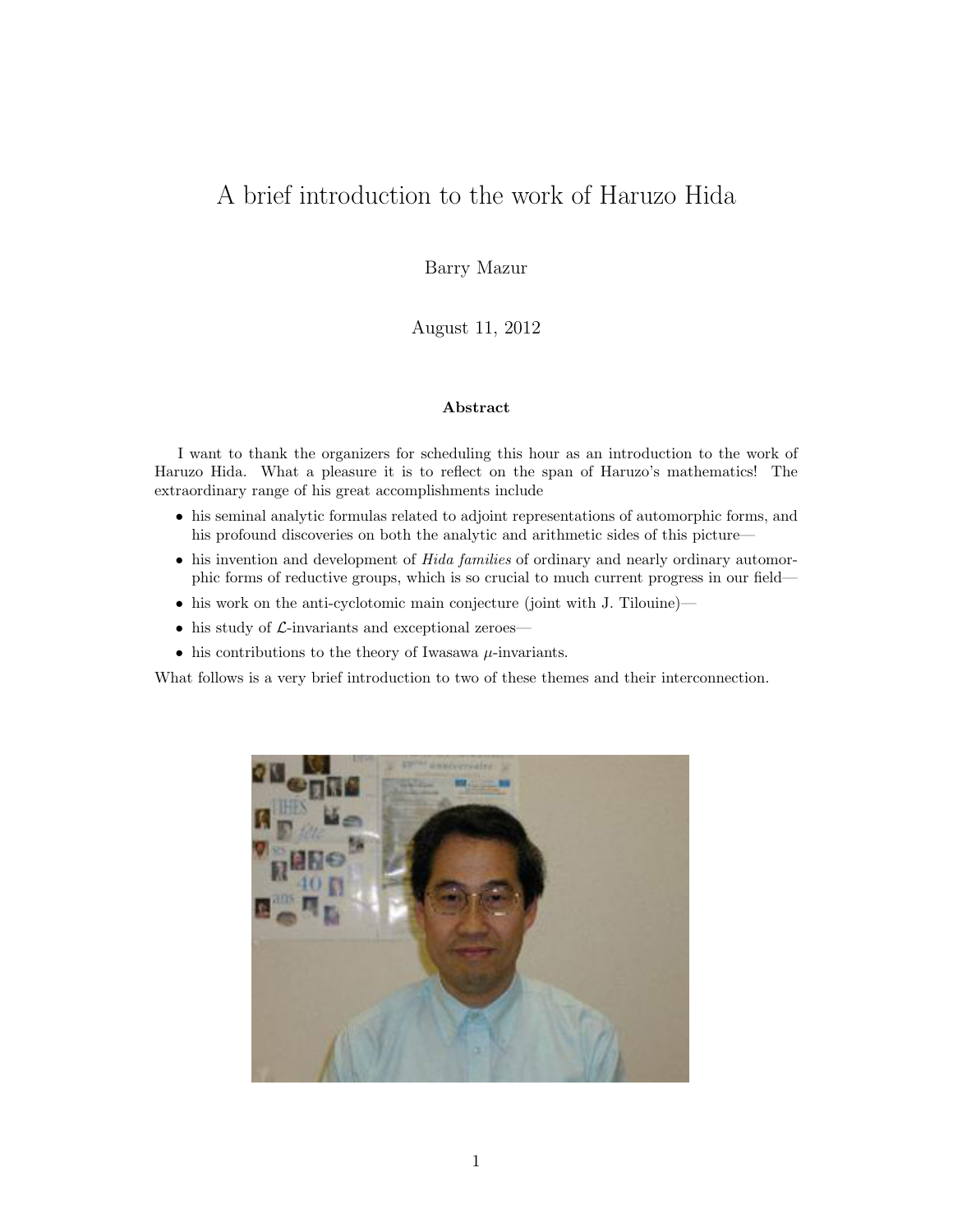# A brief introduction to the work of Haruzo Hida

Barry Mazur

August 11, 2012

#### Abstract

I want to thank the organizers for scheduling this hour as an introduction to the work of Haruzo Hida. What a pleasure it is to reflect on the span of Haruzo's mathematics! The extraordinary range of his great accomplishments include

- his seminal analytic formulas related to adjoint representations of automorphic forms, and his profound discoveries on both the analytic and arithmetic sides of this picture—
- his invention and development of Hida families of ordinary and nearly ordinary automorphic forms of reductive groups, which is so crucial to much current progress in our field—
- his work on the anti-cyclotomic main conjecture (joint with J. Tilouine)—
- his study of  $\mathcal{L}$ -invariants and exceptional zeroes—
- his contributions to the theory of Iwasawa  $\mu$ -invariants.

What follows is a very brief introduction to two of these themes and their interconnection.

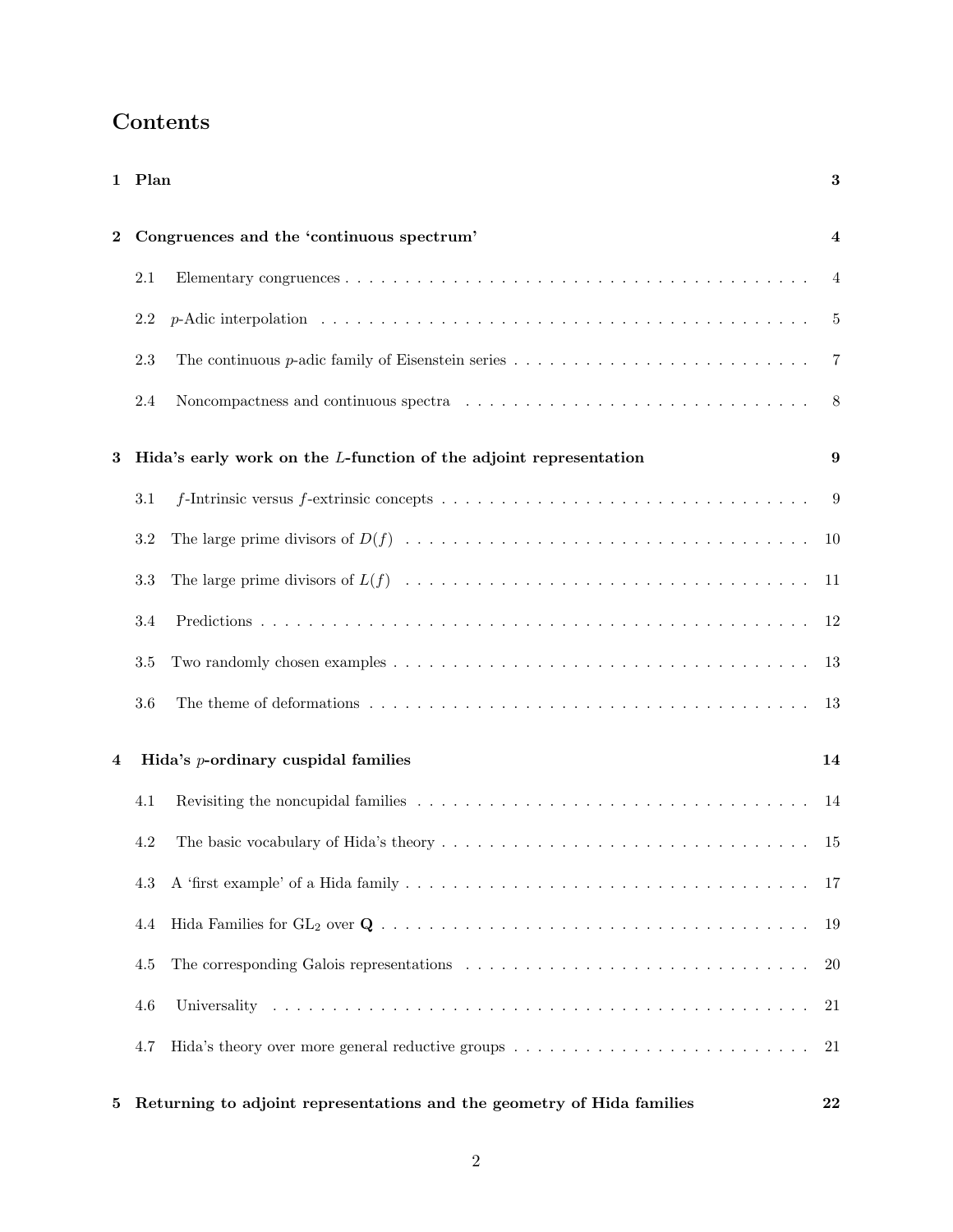|          | 1 Plan                                                                                                                 |  | $\bf{3}$       |  |
|----------|------------------------------------------------------------------------------------------------------------------------|--|----------------|--|
| $\bf{2}$ | Congruences and the 'continuous spectrum'                                                                              |  |                |  |
|          | $2.1\,$                                                                                                                |  | 4              |  |
|          | 2.2                                                                                                                    |  | 5              |  |
|          | 2.3<br>The continuous p-adic family of Eisenstein series $\dots \dots \dots \dots \dots \dots \dots \dots \dots \dots$ |  | $\overline{7}$ |  |
|          | 2.4                                                                                                                    |  | 8              |  |
| 3        | Hida's early work on the L-function of the adjoint representation                                                      |  | 9              |  |
|          | 3.1                                                                                                                    |  | 9              |  |
|          | 3.2                                                                                                                    |  | 10             |  |
|          | 3.3                                                                                                                    |  | -11            |  |
|          | 3.4                                                                                                                    |  | 12             |  |
|          | 3.5                                                                                                                    |  | 13             |  |
|          | 3.6                                                                                                                    |  | 13             |  |
| 4        | Hida's <i>p</i> -ordinary cuspidal families                                                                            |  | 14             |  |
|          | 4.1                                                                                                                    |  | 14             |  |
|          | 4.2                                                                                                                    |  | 15             |  |
|          | 4.3                                                                                                                    |  | 17             |  |
|          | 4.4                                                                                                                    |  | 19             |  |
|          | 4.5                                                                                                                    |  | 20             |  |
|          | 4.6                                                                                                                    |  | 21             |  |
|          | 4.7                                                                                                                    |  | 21             |  |
| 5        | Returning to adjoint representations and the geometry of Hida families                                                 |  | 22             |  |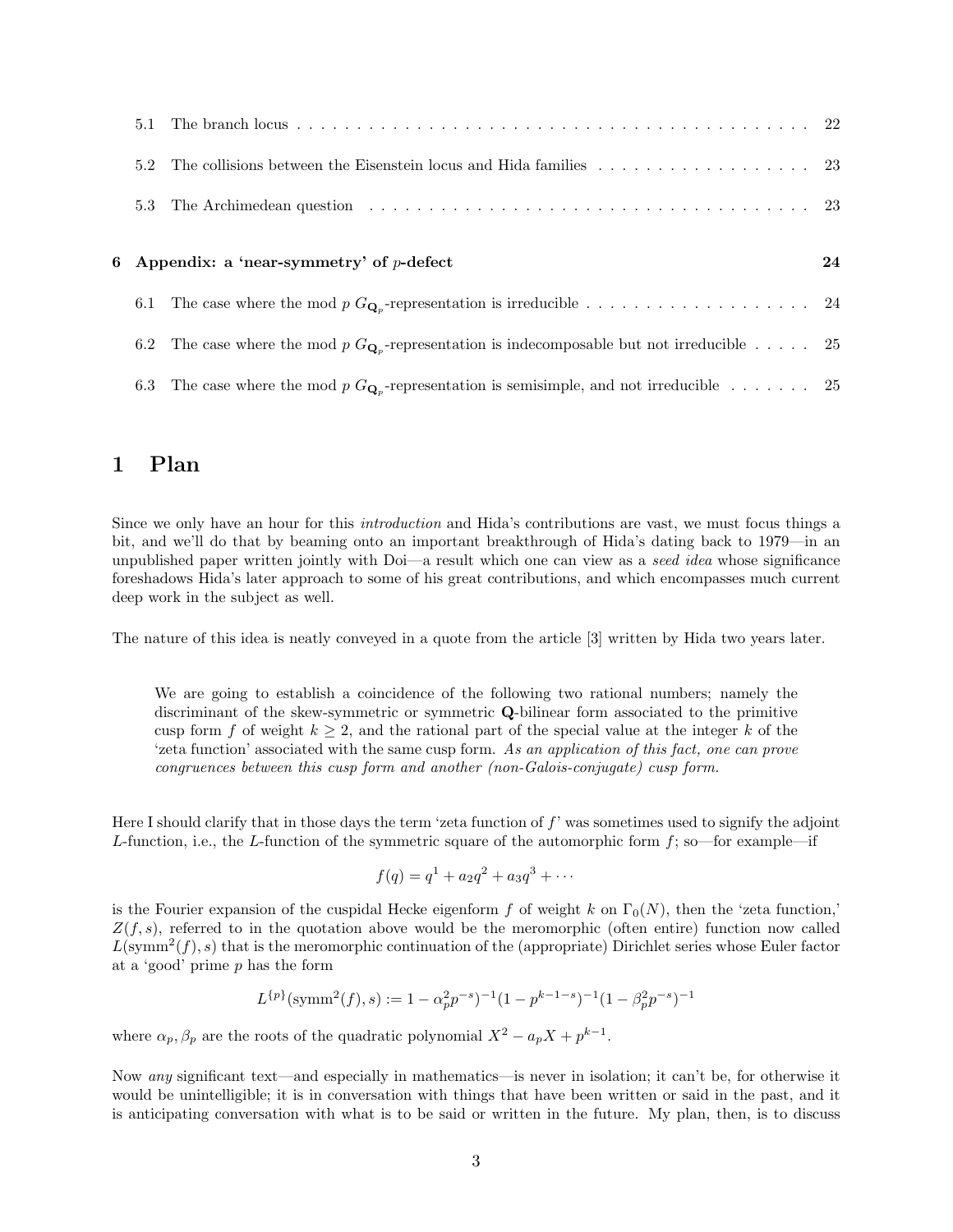|     | 5.2 The collisions between the Eisenstein locus and Hida families 23                                     |    |
|-----|----------------------------------------------------------------------------------------------------------|----|
| 5.3 |                                                                                                          |    |
|     | 6 Appendix: a 'near-symmetry' of $p$ -defect                                                             | 24 |
|     |                                                                                                          |    |
|     | 6.2 The case where the mod p $G_{\mathbf{Q}_n}$ -representation is indecomposable but not irreducible 25 |    |
|     | 6.3 The case where the mod p $G_{\mathbf{Q}_n}$ -representation is semisimple, and not irreducible  25   |    |

# 1 Plan

Since we only have an hour for this introduction and Hida's contributions are vast, we must focus things a bit, and we'll do that by beaming onto an important breakthrough of Hida's dating back to 1979—in an unpublished paper written jointly with Doi—a result which one can view as a seed idea whose significance foreshadows Hida's later approach to some of his great contributions, and which encompasses much current deep work in the subject as well.

The nature of this idea is neatly conveyed in a quote from the article [3] written by Hida two years later.

We are going to establish a coincidence of the following two rational numbers; namely the discriminant of the skew-symmetric or symmetric Q-bilinear form associated to the primitive cusp form f of weight  $k \geq 2$ , and the rational part of the special value at the integer k of the 'zeta function' associated with the same cusp form. As an application of this fact, one can prove congruences between this cusp form and another (non-Galois-conjugate) cusp form.

Here I should clarify that in those days the term 'zeta function of  $f'$ ' was sometimes used to signify the adjoint L-function, i.e., the L-function of the symmetric square of the automorphic form  $f$ ; so—for example—if

$$
f(q) = q1 + a2q2 + a3q3 + \cdots
$$

is the Fourier expansion of the cuspidal Hecke eigenform f of weight k on  $\Gamma_0(N)$ , then the 'zeta function,'  $Z(f, s)$ , referred to in the quotation above would be the meromorphic (often entire) function now called  $L(\text{symm}^2(f), s)$  that is the meromorphic continuation of the (appropriate) Dirichlet series whose Euler factor at a 'good' prime p has the form

$$
L^{\{p\}}(\text{symm}^2(f), s) := 1 - \alpha_p^2 p^{-s} \cdot \frac{1}{1 - p^{k-1-s}} \cdot \frac{1}{1 - \beta_p^2 p^{-s}} \cdot \frac{1}{1 - p^{k-1-s}}
$$

where  $\alpha_p, \beta_p$  are the roots of the quadratic polynomial  $X^2 - a_p X + p^{k-1}$ .

Now any significant text—and especially in mathematics—is never in isolation; it can't be, for otherwise it would be unintelligible; it is in conversation with things that have been written or said in the past, and it is anticipating conversation with what is to be said or written in the future. My plan, then, is to discuss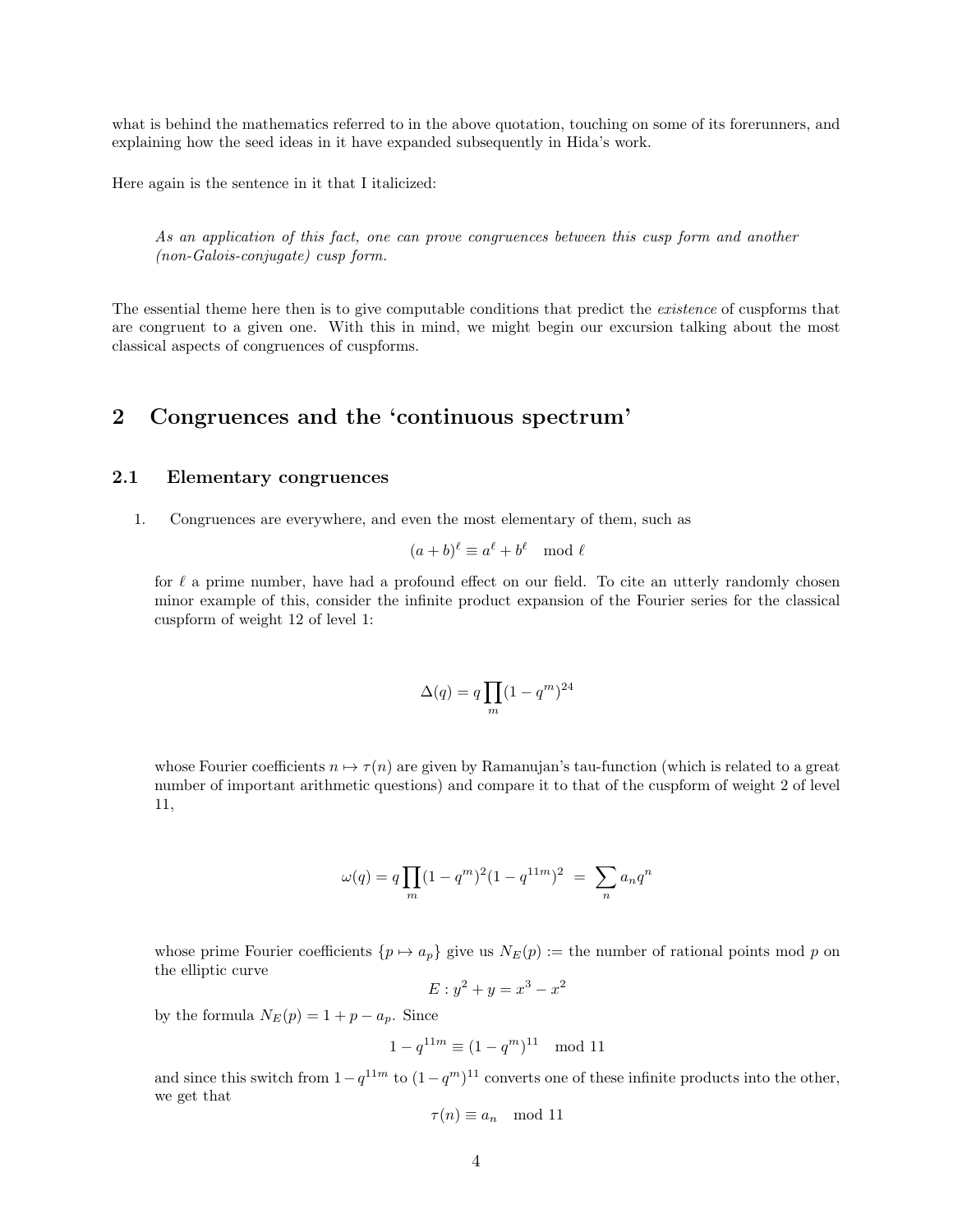what is behind the mathematics referred to in the above quotation, touching on some of its forerunners, and explaining how the seed ideas in it have expanded subsequently in Hida's work.

Here again is the sentence in it that I italicized:

As an application of this fact, one can prove congruences between this cusp form and another (non-Galois-conjugate) cusp form.

The essential theme here then is to give computable conditions that predict the *existence* of cuspforms that are congruent to a given one. With this in mind, we might begin our excursion talking about the most classical aspects of congruences of cuspforms.

# 2 Congruences and the 'continuous spectrum'

## 2.1 Elementary congruences

1. Congruences are everywhere, and even the most elementary of them, such as

$$
(a+b)^{\ell} \equiv a^{\ell} + b^{\ell} \mod \ell
$$

for  $\ell$  a prime number, have had a profound effect on our field. To cite an utterly randomly chosen minor example of this, consider the infinite product expansion of the Fourier series for the classical cuspform of weight 12 of level 1:

$$
\Delta(q) = q \prod_{m} (1 - q^m)^{24}
$$

whose Fourier coefficients  $n \mapsto \tau(n)$  are given by Ramanujan's tau-function (which is related to a great number of important arithmetic questions) and compare it to that of the cuspform of weight 2 of level 11,

$$
\omega(q) = q \prod_{m} (1 - q^{m})^2 (1 - q^{11m})^2 = \sum_{m} a_n q^n
$$

whose prime Fourier coefficients  $\{p \mapsto a_p\}$  give us  $N_E(p) :=$  the number of rational points mod p on the elliptic curve  $\overline{2}$ 

$$
E: y^2 + y = x^3 - x^2
$$

by the formula  $N_E(p) = 1 + p - a_p$ . Since

$$
1 - q^{11m} \equiv (1 - q^m)^{11} \mod 11
$$

and since this switch from  $1-q^{11m}$  to  $(1-q^m)^{11}$  converts one of these infinite products into the other, we get that

$$
\tau(n) \equiv a_n \mod 11
$$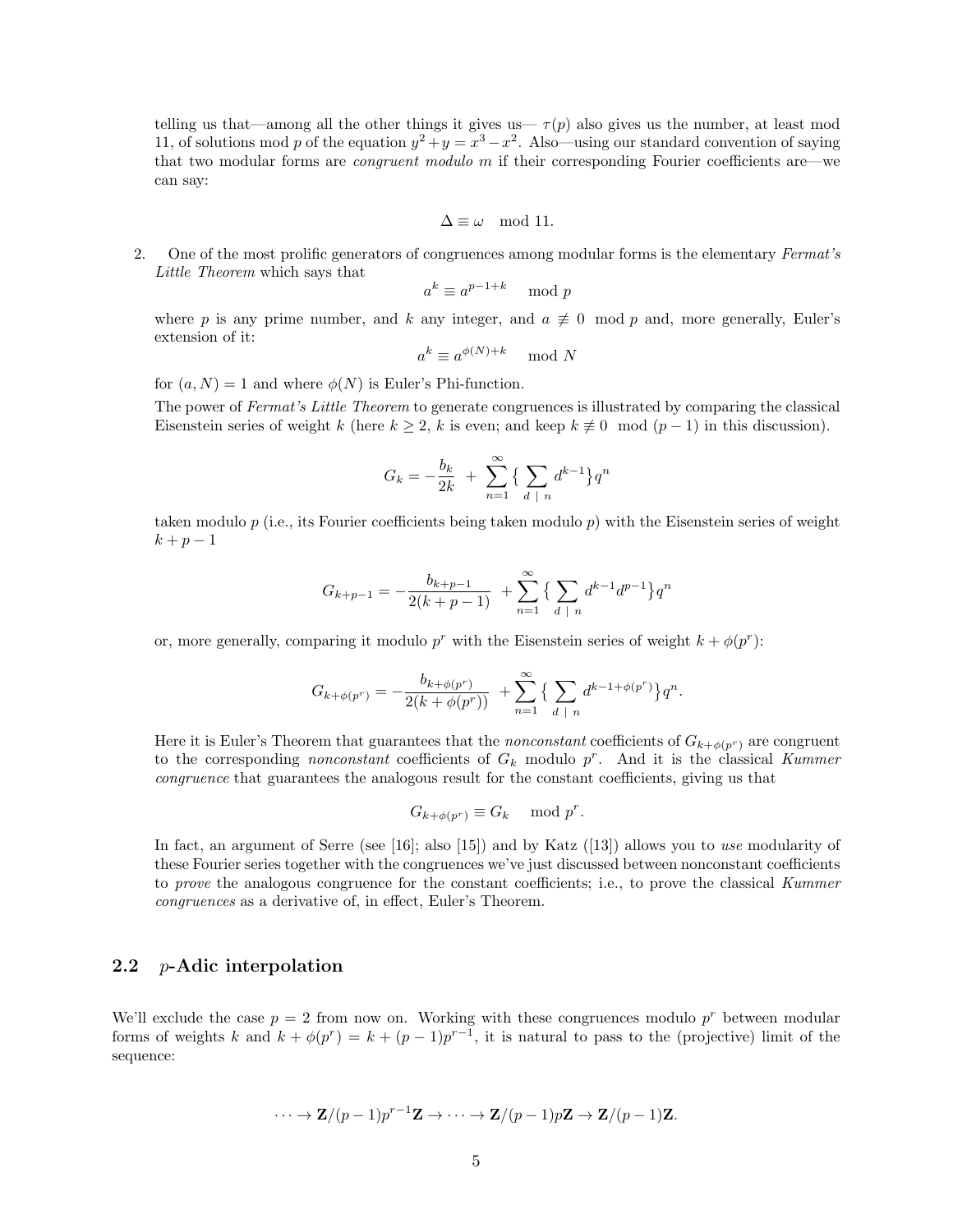telling us that—among all the other things it gives us—  $\tau(p)$  also gives us the number, at least mod 11, of solutions mod p of the equation  $y^2 + y = x^3 - x^2$ . Also—using our standard convention of saying that two modular forms are congruent modulo m if their corresponding Fourier coefficients are—we can say:

$$
\Delta \equiv \omega \mod 11.
$$

2. One of the most prolific generators of congruences among modular forms is the elementary Fermat's Little Theorem which says that

$$
a^k \equiv a^{p-1+k} \mod p
$$

where p is any prime number, and k any integer, and  $a \neq 0 \mod p$  and, more generally, Euler's extension of it:

$$
a^k \equiv a^{\phi(N)+k} \mod N
$$

for  $(a, N) = 1$  and where  $\phi(N)$  is Euler's Phi-function.

The power of Fermat's Little Theorem to generate congruences is illustrated by comparing the classical Eisenstein series of weight k (here  $k \geq 2$ , k is even; and keep  $k \neq 0 \mod (p-1)$  in this discussion).

$$
G_k = -\frac{b_k}{2k} + \sum_{n=1}^{\infty} \left\{ \sum_{d \mid n} d^{k-1} \right\} q^n
$$

taken modulo  $p$  (i.e., its Fourier coefficients being taken modulo  $p$ ) with the Eisenstein series of weight  $k + p - 1$ 

$$
G_{k+p-1} = -\frac{b_{k+p-1}}{2(k+p-1)} + \sum_{n=1}^{\infty} \left\{ \sum_{d \mid n} d^{k-1} d^{p-1} \right\} q^n
$$

or, more generally, comparing it modulo  $p^r$  with the Eisenstein series of weight  $k + \phi(p^r)$ :

$$
G_{k+\phi(p^r)} = -\frac{b_{k+\phi(p^r)}}{2(k+\phi(p^r))} + \sum_{n=1}^{\infty} \left\{ \sum_{d \mid n} d^{k-1+\phi(p^r)} \right\} q^n.
$$

Here it is Euler's Theorem that guarantees that the *nonconstant* coefficients of  $G_{k+\phi(p^r)}$  are congruent to the corresponding *nonconstant* coefficients of  $G_k$  modulo  $p^r$ . And it is the classical Kummer congruence that guarantees the analogous result for the constant coefficients, giving us that

$$
G_{k+\phi(p^r)} \equiv G_k \mod p^r.
$$

In fact, an argument of Serre (see [16]; also [15]) and by Katz ([13]) allows you to use modularity of these Fourier series together with the congruences we've just discussed between nonconstant coefficients to prove the analogous congruence for the constant coefficients; i.e., to prove the classical Kummer congruences as a derivative of, in effect, Euler's Theorem.

## 2.2 p-Adic interpolation

We'll exclude the case  $p = 2$  from now on. Working with these congruences modulo  $p^r$  between modular forms of weights k and  $k + \phi(p^r) = k + (p-1)p^{r-1}$ , it is natural to pass to the (projective) limit of the sequence:

$$
\cdots \to \mathbf{Z}/(p-1)p^{r-1}\mathbf{Z} \to \cdots \to \mathbf{Z}/(p-1)p\mathbf{Z} \to \mathbf{Z}/(p-1)\mathbf{Z}.
$$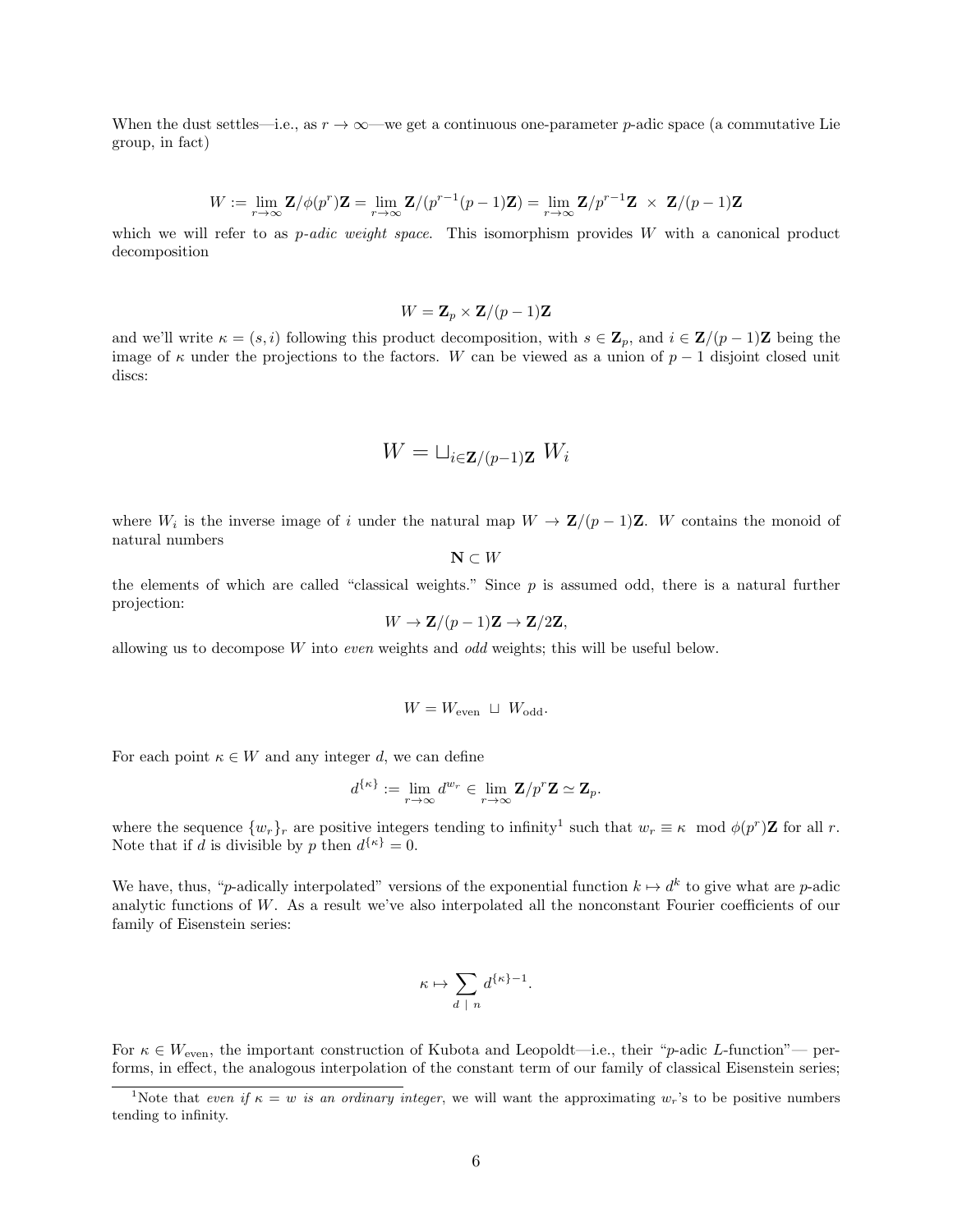When the dust settles—i.e., as  $r \to \infty$ —we get a continuous one-parameter p-adic space (a commutative Lie group, in fact)

$$
W := \lim_{r \to \infty} \mathbf{Z} / \phi(p^r) \mathbf{Z} = \lim_{r \to \infty} \mathbf{Z} / (p^{r-1}(p-1)\mathbf{Z}) = \lim_{r \to \infty} \mathbf{Z} / p^{r-1} \mathbf{Z} \times \mathbf{Z} / (p-1)\mathbf{Z}
$$

which we will refer to as *p-adic weight space*. This isomorphism provides  $W$  with a canonical product decomposition

$$
W = \mathbf{Z}_p \times \mathbf{Z}/(p-1)\mathbf{Z}
$$

and we'll write  $\kappa = (s, i)$  following this product decomposition, with  $s \in \mathbf{Z}_p$ , and  $i \in \mathbf{Z}/(p-1)\mathbf{Z}$  being the image of  $\kappa$  under the projections to the factors. W can be viewed as a union of  $p-1$  disjoint closed unit discs:

$$
W = \sqcup_{i \in \mathbf{Z}/(p-1)\mathbf{Z}} W_i
$$

where  $W_i$  is the inverse image of i under the natural map  $W \to \mathbf{Z}/(p-1)\mathbf{Z}$ . W contains the monoid of natural numbers

 $\mathbf{N} \subset W$ 

the elements of which are called "classical weights." Since  $p$  is assumed odd, there is a natural further projection:

$$
W \to \mathbf{Z}/(p-1)\mathbf{Z} \to \mathbf{Z}/2\mathbf{Z},
$$

allowing us to decompose  $W$  into *even* weights and *odd* weights; this will be useful below.

$$
W=W_{\text{even}}~\sqcup~W_{\text{odd}}.
$$

For each point  $\kappa \in W$  and any integer d, we can define

$$
d^{\{\kappa\}}:=\lim_{r\to\infty}d^{w_r}\in\lim_{r\to\infty}\mathbf{Z}/p^r\mathbf{Z}\simeq\mathbf{Z}_p.
$$

where the sequence  $\{w_r\}_r$  are positive integers tending to infinity<sup>1</sup> such that  $w_r \equiv \kappa \mod \phi(p^r)Z$  for all r. Note that if d is divisible by p then  $d^{\{\kappa\}} = 0$ .

We have, thus, "p-adically interpolated" versions of the exponential function  $k \mapsto d^k$  to give what are p-adic analytic functions of  $W$ . As a result we've also interpolated all the nonconstant Fourier coefficients of our family of Eisenstein series:

$$
\kappa \mapsto \sum_{d \ |\ n} d^{\{\kappa\}-1}.
$$

For  $\kappa \in W_{\text{even}}$ , the important construction of Kubota and Leopoldt—i.e., their "p-adic L-function"— performs, in effect, the analogous interpolation of the constant term of our family of classical Eisenstein series;

<sup>&</sup>lt;sup>1</sup>Note that even if  $\kappa = w$  is an ordinary integer, we will want the approximating  $w_r$ 's to be positive numbers tending to infinity.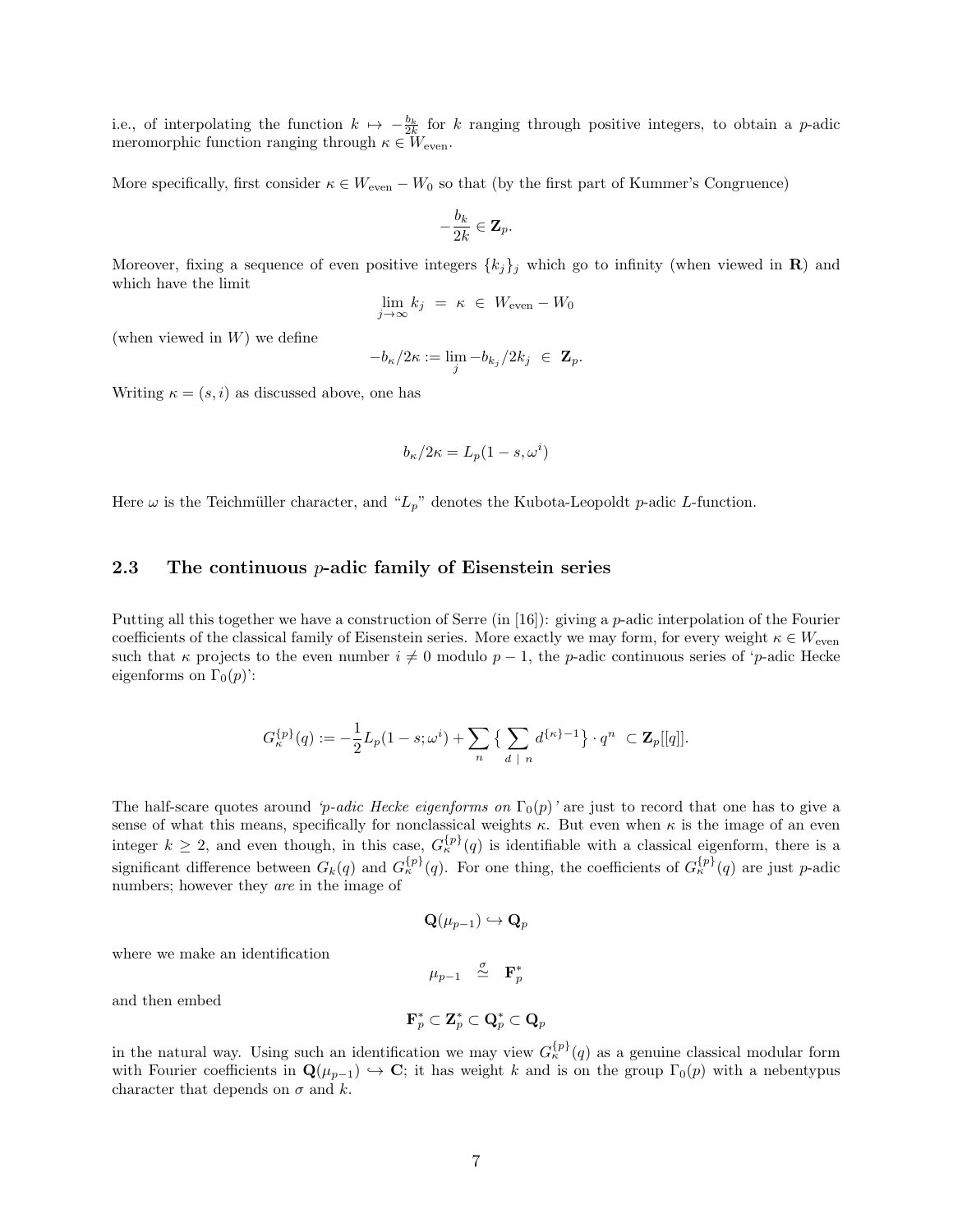i.e., of interpolating the function  $k \mapsto -\frac{b_k}{2k}$  for k ranging through positive integers, to obtain a p-adic meromorphic function ranging through  $\kappa \in W_{\text{even}}$ .

More specifically, first consider  $\kappa \in W_{\text{even}} - W_0$  so that (by the first part of Kummer's Congruence)

$$
-\frac{b_k}{2k}\in {\bf Z}_p.
$$

Moreover, fixing a sequence of even positive integers  $\{k_j\}$  which go to infinity (when viewed in R) and which have the limit

$$
\lim_{j \to \infty} k_j = \kappa \in W_{\text{even}} - W_0
$$

(when viewed in  $W$ ) we define

$$
-b_{\kappa}/2\kappa := \lim_{j} -b_{k_j}/2k_j \in \mathbf{Z}_p.
$$

Writing  $\kappa = (s, i)$  as discussed above, one has

$$
b_{\kappa}/2\kappa = L_p(1-s,\omega^i)
$$

Here  $\omega$  is the Teichmüller character, and " $L_p$ " denotes the Kubota-Leopoldt p-adic L-function.

#### 2.3 The continuous p-adic family of Eisenstein series

Putting all this together we have a construction of Serre (in [16]): giving a p-adic interpolation of the Fourier coefficients of the classical family of Eisenstein series. More exactly we may form, for every weight  $\kappa \in W_{\text{even}}$ such that  $\kappa$  projects to the even number  $i \neq 0$  modulo  $p-1$ , the p-adic continuous series of 'p-adic Hecke eigenforms on  $\Gamma_0(p)$ :

$$
G_{\kappa}^{\{ \!\!\!\ p \ \!\!\!\}}(q):=-\frac{1}{2}L_p(1-s;\omega^i)+\sum_n\big\{\sum_{d\ |\ n}d^{\{\kappa\}-1}\big\}\cdot q^n\ \subset {\bf Z}_p[[q]].
$$

The half-scare quotes around 'p-adic Hecke eigenforms on  $\Gamma_0(p)$ ' are just to record that one has to give a sense of what this means, specifically for nonclassical weights  $\kappa$ . But even when  $\kappa$  is the image of an even integer  $k \geq 2$ , and even though, in this case,  $G_{\kappa}^{\{p\}}(q)$  is identifiable with a classical eigenform, there is a significant difference between  $G_k(q)$  and  $G_{\kappa}^{\{p\}}(q)$ . For one thing, the coefficients of  $G_{\kappa}^{\{p\}}(q)$  are just p-adic numbers; however they are in the image of

$$
\mathbf{Q}(\mu_{p-1}) \hookrightarrow \mathbf{Q}_p
$$

where we make an identification

$$
\mu_{p-1} \quad \mathop{\simeq}^{\sigma} \quad \mathbf{F}_p^*
$$

and then embed

$$
\mathbf{F}^{*}_p \subset \mathbf{Z}^{*}_p \subset \mathbf{Q}^{*}_p \subset \mathbf{Q}_p
$$

in the natural way. Using such an identification we may view  $G_{\kappa}^{\{p\}}(q)$  as a genuine classical modular form with Fourier coefficients in  $\mathbf{Q}(\mu_{p-1}) \hookrightarrow \mathbf{C}$ ; it has weight k and is on the group  $\Gamma_0(p)$  with a nebentypus character that depends on  $\sigma$  and k.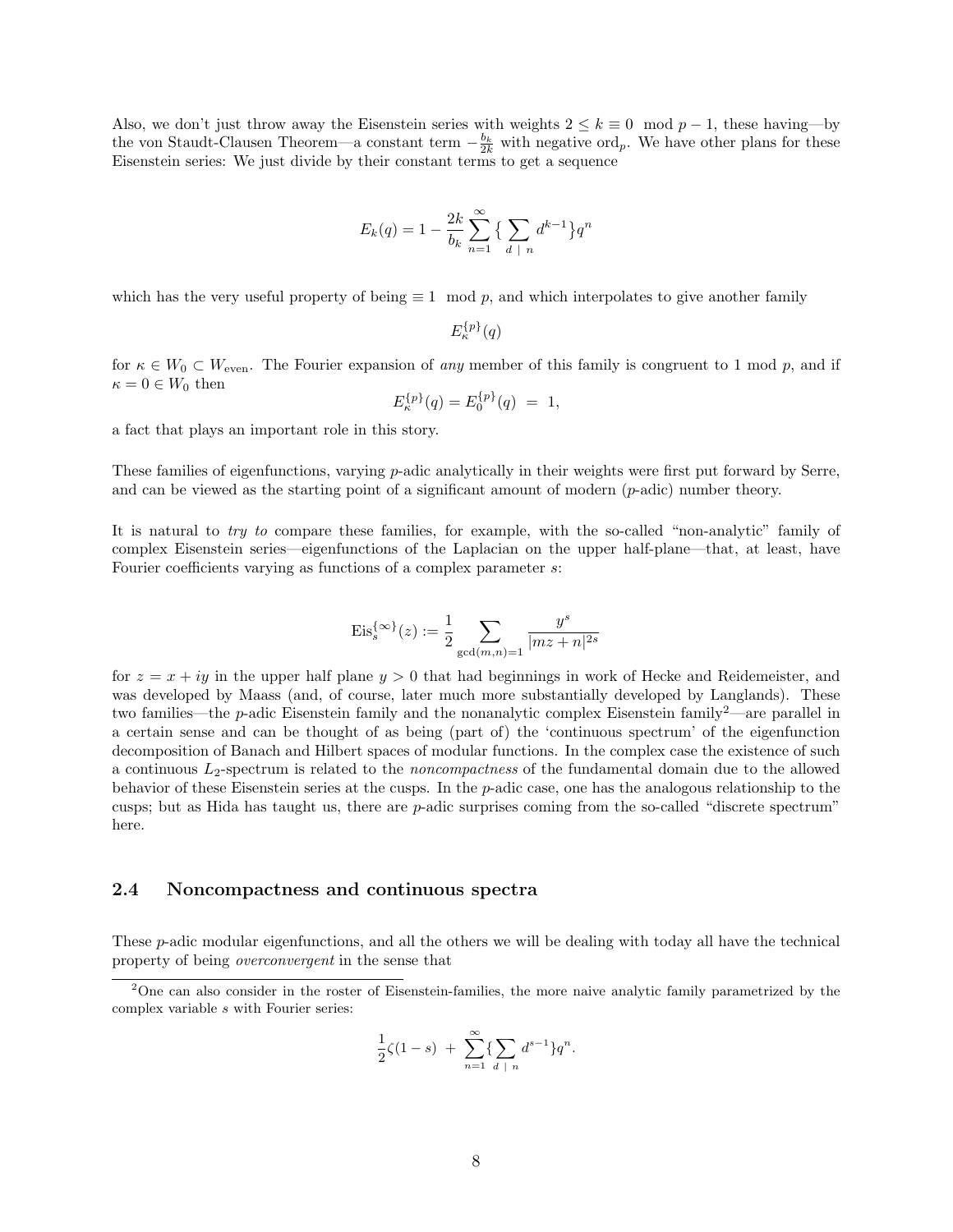Also, we don't just throw away the Eisenstein series with weights  $2 \leq k \equiv 0 \mod p - 1$ , these having—by the von Staudt-Clausen Theorem—a constant term  $-\frac{b_k}{2k}$  with negative ord<sub>p</sub>. We have other plans for these Eisenstein series: We just divide by their constant terms to get a sequence

$$
E_k(q) = 1 - \frac{2k}{b_k} \sum_{n=1}^{\infty} \left\{ \sum_{d \mid n} d^{k-1} \right\} q^n
$$

which has the very useful property of being  $\equiv 1 \mod p$ , and which interpolates to give another family

 $E_{\kappa}^{\{p\}}(q)$ 

for  $\kappa \in W_0 \subset W_{\text{even}}$ . The Fourier expansion of any member of this family is congruent to 1 mod p, and if  $\kappa = 0 \in W_0$  then

$$
E_{\kappa}^{\{p\}}(q) = E_0^{\{p\}}(q) = 1,
$$

a fact that plays an important role in this story.

These families of eigenfunctions, varying p-adic analytically in their weights were first put forward by Serre, and can be viewed as the starting point of a significant amount of modern  $(p\text{-adic})$  number theory.

It is natural to try to compare these families, for example, with the so-called "non-analytic" family of complex Eisenstein series—eigenfunctions of the Laplacian on the upper half-plane—that, at least, have Fourier coefficients varying as functions of a complex parameter s:

$$
\mathrm{Eis}^{\{\infty\}}_s(z):=\frac{1}{2}\sum_{\gcd(m,n)=1}\frac{y^s}{|mz+n|^{2s}}
$$

for  $z = x + iy$  in the upper half plane  $y > 0$  that had beginnings in work of Hecke and Reidemeister, and was developed by Maass (and, of course, later much more substantially developed by Langlands). These two families—the p-adic Eisenstein family and the nonanalytic complex Eisenstein family2—are parallel in a certain sense and can be thought of as being (part of) the 'continuous spectrum' of the eigenfunction decomposition of Banach and Hilbert spaces of modular functions. In the complex case the existence of such a continuous  $L_2$ -spectrum is related to the *noncompactness* of the fundamental domain due to the allowed behavior of these Eisenstein series at the cusps. In the p-adic case, one has the analogous relationship to the cusps; but as Hida has taught us, there are p-adic surprises coming from the so-called "discrete spectrum" here.

### 2.4 Noncompactness and continuous spectra

These p-adic modular eigenfunctions, and all the others we will be dealing with today all have the technical property of being overconvergent in the sense that

$$
\frac{1}{2}\zeta(1-s) + \sum_{n=1}^{\infty} \{\sum_{d \; | \; n} d^{s-1}\} q^n.
$$

<sup>2</sup>One can also consider in the roster of Eisenstein-families, the more naive analytic family parametrized by the complex variable s with Fourier series: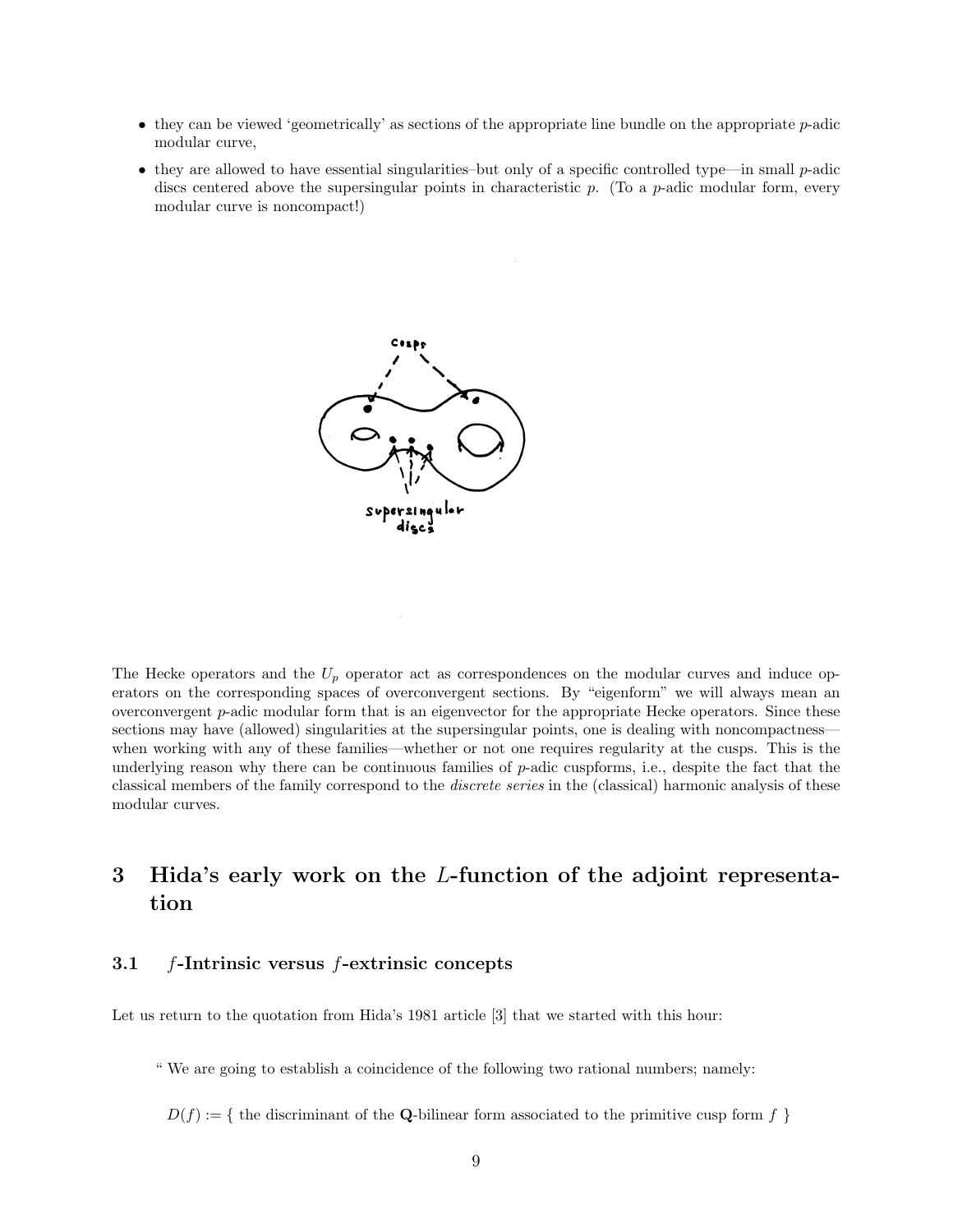- $\bullet$  they can be viewed 'geometrically' as sections of the appropriate line bundle on the appropriate  $p$ -adic modular curve,
- they are allowed to have essential singularities–but only of a specific controlled type—in small  $p$ -adic discs centered above the supersingular points in characteristic  $p$ . (To a  $p$ -adic modular form, every modular curve is noncompact!)



The Hecke operators and the  $U_p$  operator act as correspondences on the modular curves and induce operators on the corresponding spaces of overconvergent sections. By "eigenform" we will always mean an overconvergent p-adic modular form that is an eigenvector for the appropriate Hecke operators. Since these sections may have (allowed) singularities at the supersingular points, one is dealing with noncompactness when working with any of these families—whether or not one requires regularity at the cusps. This is the underlying reason why there can be continuous families of  $p$ -adic cuspforms, i.e., despite the fact that the classical members of the family correspond to the discrete series in the (classical) harmonic analysis of these modular curves.

# 3 Hida's early work on the L-function of the adjoint representation

#### 3.1 f-Intrinsic versus f-extrinsic concepts

Let us return to the quotation from Hida's 1981 article [3] that we started with this hour:

" We are going to establish a coincidence of the following two rational numbers; namely:

 $D(f) := \{$  the discriminant of the Q-bilinear form associated to the primitive cusp form f  $\}$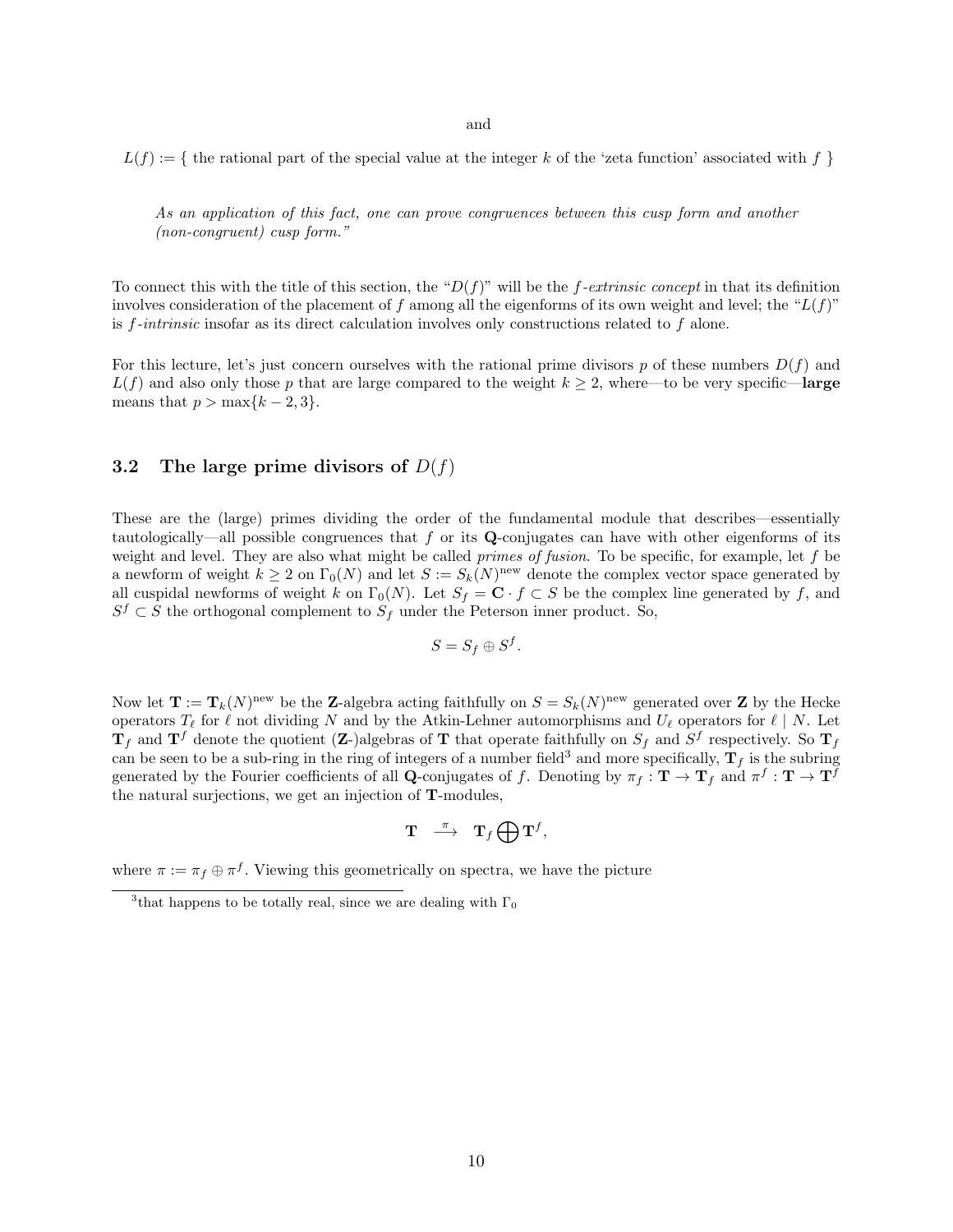and

 $L(f) := \{$  the rational part of the special value at the integer k of the 'zeta function' associated with f  $\}$ 

As an application of this fact, one can prove congruences between this cusp form and another (non-congruent) cusp form."

To connect this with the title of this section, the " $D(f)$ " will be the f-extrinsic concept in that its definition involves consideration of the placement of f among all the eigenforms of its own weight and level; the " $L(f)$ " is  $f\text{-}intrinsic$  insofar as its direct calculation involves only constructions related to  $f$  alone.

For this lecture, let's just concern ourselves with the rational prime divisors p of these numbers  $D(f)$  and  $L(f)$  and also only those p that are large compared to the weight  $k \geq 2$ , where—to be very specific—large means that  $p > \max\{k-2, 3\}.$ 

### 3.2 The large prime divisors of  $D(f)$

These are the (large) primes dividing the order of the fundamental module that describes—essentially tautologically—all possible congruences that  $f$  or its Q-conjugates can have with other eigenforms of its weight and level. They are also what might be called *primes of fusion*. To be specific, for example, let  $f$  be a newform of weight  $k \geq 2$  on  $\Gamma_0(N)$  and let  $S := S_k(N)^{new}$  denote the complex vector space generated by all cuspidal newforms of weight k on  $\Gamma_0(N)$ . Let  $S_f = \mathbf{C} \cdot f \subset S$  be the complex line generated by f, and  $S^f \subset S$  the orthogonal complement to  $S_f$  under the Peterson inner product. So,

$$
S = S_f \oplus S^f.
$$

Now let  $\mathbf{T} := \mathbf{T}_k(N)^{\text{new}}$  be the Z-algebra acting faithfully on  $S = S_k(N)^{\text{new}}$  generated over Z by the Hecke operators  $T_\ell$  for  $\ell$  not dividing N and by the Atkin-Lehner automorphisms and  $U_\ell$  operators for  $\ell \mid N$ . Let  $T_f$  and  $T^f$  denote the quotient (Z-)algebras of T that operate faithfully on  $S_f$  and  $S^f$  respectively. So  $T_f$ can be seen to be a sub-ring in the ring of integers of a number field<sup>3</sup> and more specifically,  $T<sub>f</sub>$  is the subring generated by the Fourier coefficients of all Q-conjugates of f. Denoting by  $\pi_f : \mathbf{T} \to \mathbf{T}_f$  and  $\pi^f : \mathbf{T} \to \mathbf{T}^f$ the natural surjections, we get an injection of T-modules,

$$
\begin{array}{ccc} \mathbf{T} & \stackrel{\pi}{\longrightarrow} & \mathbf{T}_f\bigoplus\mathbf{T}^f, \end{array}
$$

where  $\pi := \pi_f \oplus \pi^f$ . Viewing this geometrically on spectra, we have the picture

<sup>&</sup>lt;sup>3</sup>that happens to be totally real, since we are dealing with  $\Gamma_0$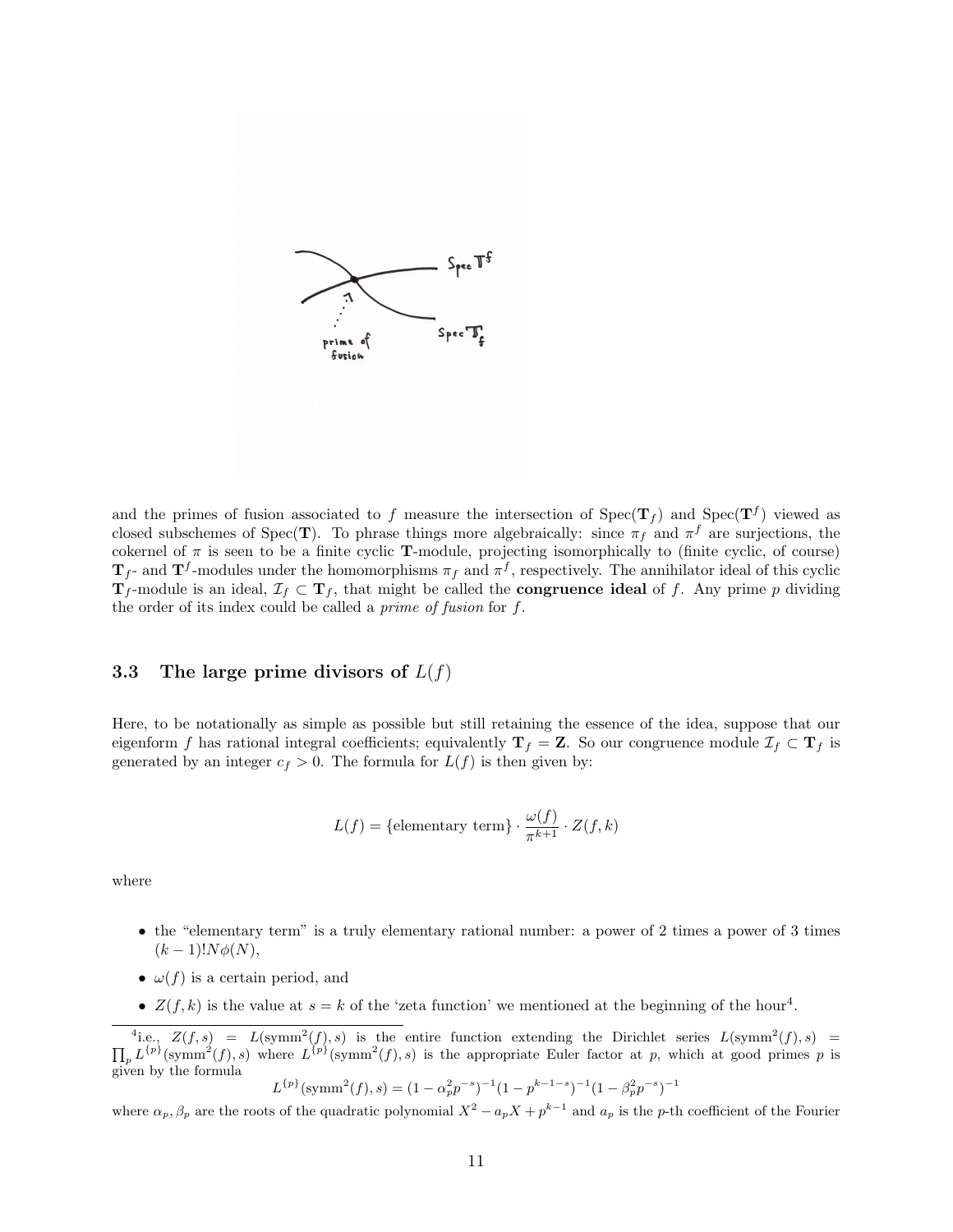

and the primes of fusion associated to f measure the intersection of  $Spec(\mathbf{T}_f)$  and  $Spec(\mathbf{T}^f)$  viewed as closed subschemes of Spec(T). To phrase things more algebraically: since  $\pi_f$  and  $\pi^f$  are surjections, the cokernel of  $\pi$  is seen to be a finite cyclic **T**-module, projecting isomorphically to (finite cyclic, of course)  $T_f$ - and  $T^f$ -modules under the homomorphisms  $\pi_f$  and  $\pi^f$ , respectively. The annihilator ideal of this cyclic  $T_f$ -module is an ideal,  $\mathcal{I}_f \subset T_f$ , that might be called the **congruence ideal** of f. Any prime p dividing the order of its index could be called a prime of fusion for f.

### 3.3 The large prime divisors of  $L(f)$

Here, to be notationally as simple as possible but still retaining the essence of the idea, suppose that our eigenform f has rational integral coefficients; equivalently  $T_f = Z$ . So our congruence module  $\mathcal{I}_f \subset T_f$  is generated by an integer  $c_f > 0$ . The formula for  $L(f)$  is then given by:

$$
L(f) = \{ \text{elementary term} \} \cdot \frac{\omega(f)}{\pi^{k+1}} \cdot Z(f, k)
$$

where

- the "elementary term" is a truly elementary rational number: a power of 2 times a power of 3 times  $(k-1)!N\phi(N),$
- $\omega(f)$  is a certain period, and
- $Z(f, k)$  is the value at  $s = k$  of the 'zeta function' we mentioned at the beginning of the hour<sup>4</sup>.

 $L^{\{p\}}(\text{symm}^2(f), s) = (1 - \alpha_p^2 p^{-s})^{-1} (1 - p^{k-1-s})^{-1} (1 - \beta_p^2 p^{-s})^{-1}$ 

where  $\alpha_p, \beta_p$  are the roots of the quadratic polynomial  $X^2 - a_p X + p^{k-1}$  and  $a_p$  is the p-th coefficient of the Fourier

 $\lambda^4$ i.e.,  $Z(f, s) = L(\text{symm}^2(f), s)$  is the entire function extending the Dirichlet series  $L(\text{symm}^2(f))$  $\Pi$  $(f), s) =$  $_{p} L^{\{p\}}(\text{symm}^{2}(f), s)$  where  $L^{\{p\}}(\text{symm}^{2}(f), s)$  is the appropriate Euler factor at p, which at good primes p is given by the formula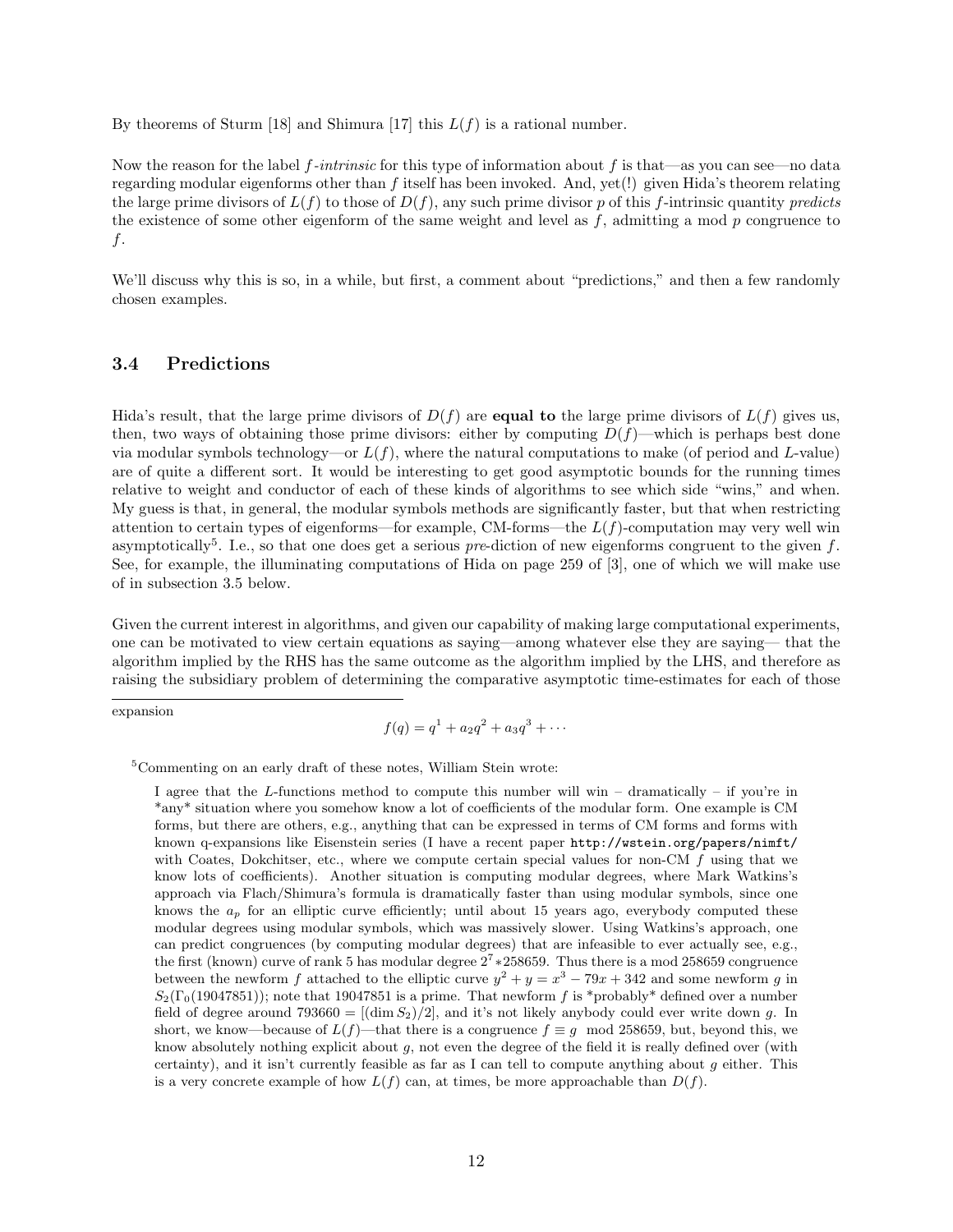By theorems of Sturm [18] and Shimura [17] this  $L(f)$  is a rational number.

Now the reason for the label f-intrinsic for this type of information about f is that—as you can see—no data regarding modular eigenforms other than f itself has been invoked. And, yet(!) given Hida's theorem relating the large prime divisors of  $L(f)$  to those of  $D(f)$ , any such prime divisor p of this f-intrinsic quantity predicts the existence of some other eigenform of the same weight and level as  $f$ , admitting a mod  $p$  congruence to f.

We'll discuss why this is so, in a while, but first, a comment about "predictions," and then a few randomly chosen examples.

#### 3.4 Predictions

Hida's result, that the large prime divisors of  $D(f)$  are **equal to** the large prime divisors of  $L(f)$  gives us, then, two ways of obtaining those prime divisors: either by computing  $D(f)$ —which is perhaps best done via modular symbols technology—or  $L(f)$ , where the natural computations to make (of period and L-value) are of quite a different sort. It would be interesting to get good asymptotic bounds for the running times relative to weight and conductor of each of these kinds of algorithms to see which side "wins," and when. My guess is that, in general, the modular symbols methods are significantly faster, but that when restricting attention to certain types of eigenforms—for example, CM-forms—the  $L(f)$ -computation may very well win asymptotically<sup>5</sup>. I.e., so that one does get a serious *pre*-diction of new eigenforms congruent to the given f. See, for example, the illuminating computations of Hida on page 259 of [3], one of which we will make use of in subsection 3.5 below.

Given the current interest in algorithms, and given our capability of making large computational experiments, one can be motivated to view certain equations as saying—among whatever else they are saying— that the algorithm implied by the RHS has the same outcome as the algorithm implied by the LHS, and therefore as raising the subsidiary problem of determining the comparative asymptotic time-estimates for each of those

expansion

$$
f(q) = q1 + a2q2 + a3q3 + \cdots
$$

<sup>5</sup>Commenting on an early draft of these notes, William Stein wrote:

I agree that the L-functions method to compute this number will win – dramatically – if you're in \*any\* situation where you somehow know a lot of coefficients of the modular form. One example is CM forms, but there are others, e.g., anything that can be expressed in terms of CM forms and forms with known q-expansions like Eisenstein series (I have a recent paper http://wstein.org/papers/nimft/ with Coates, Dokchitser, etc., where we compute certain special values for non-CM  $f$  using that we know lots of coefficients). Another situation is computing modular degrees, where Mark Watkins's approach via Flach/Shimura's formula is dramatically faster than using modular symbols, since one knows the  $a_p$  for an elliptic curve efficiently; until about 15 years ago, everybody computed these modular degrees using modular symbols, which was massively slower. Using Watkins's approach, one can predict congruences (by computing modular degrees) that are infeasible to ever actually see, e.g., the first (known) curve of rank 5 has modular degree  $2^7 * 258659$ . Thus there is a mod 258659 congruence between the newform f attached to the elliptic curve  $y^2 + y = x^3 - 79x + 342$  and some newform g in  $S_2(\Gamma_0(19047851))$ ; note that 19047851 is a prime. That newform f is \*probably\* defined over a number field of degree around 793660 =  $[(\dim S_2)/2]$ , and it's not likely anybody could ever write down q. In short, we know—because of  $L(f)$ —that there is a congruence  $f \equiv q \mod 258659$ , but, beyond this, we know absolutely nothing explicit about g, not even the degree of the field it is really defined over (with certainty), and it isn't currently feasible as far as I can tell to compute anything about q either. This is a very concrete example of how  $L(f)$  can, at times, be more approachable than  $D(f)$ .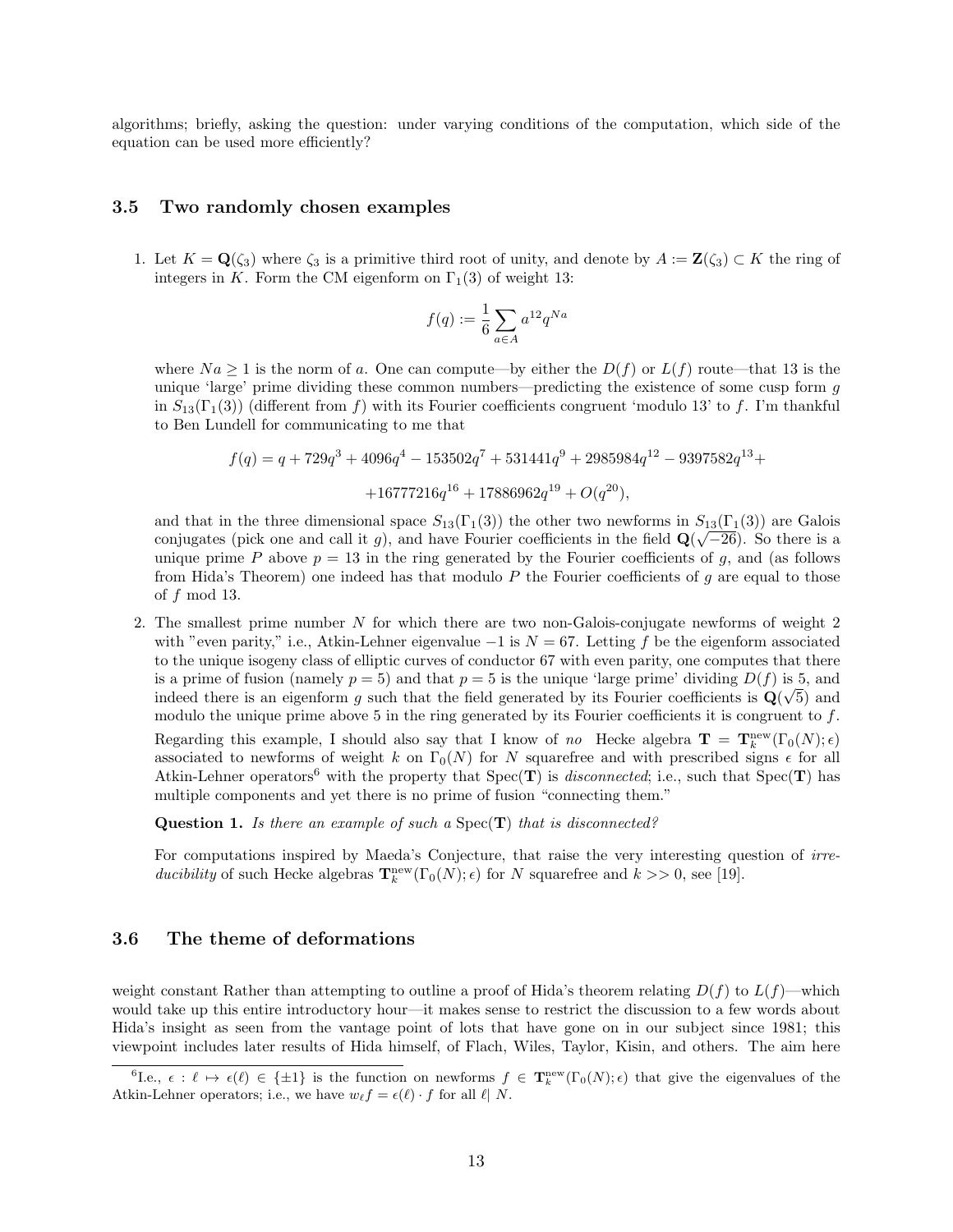algorithms; briefly, asking the question: under varying conditions of the computation, which side of the equation can be used more efficiently?

#### 3.5 Two randomly chosen examples

1. Let  $K = \mathbf{Q}(\zeta_3)$  where  $\zeta_3$  is a primitive third root of unity, and denote by  $A := \mathbf{Z}(\zeta_3) \subset K$  the ring of integers in K. Form the CM eigenform on  $\Gamma_1(3)$  of weight 13:

$$
f(q) := \frac{1}{6} \sum_{a \in A} a^{12} q^{Na}
$$

where  $Na \geq 1$  is the norm of a. One can compute—by either the  $D(f)$  or  $L(f)$  route—that 13 is the unique 'large' prime dividing these common numbers—predicting the existence of some cusp form  $q$ in  $S_{13}(\Gamma_1(3))$  (different from f) with its Fourier coefficients congruent 'modulo 13' to f. I'm thankful to Ben Lundell for communicating to me that

$$
f(q) = q + 729q^{3} + 4096q^{4} - 153502q^{7} + 531441q^{9} + 2985984q^{12} - 9397582q^{13} +
$$
  
+16777216q<sup>16</sup> + 17886962q<sup>19</sup> + O(q<sup>20</sup>),

and that in the three dimensional space  $S_{13}(\Gamma_1(3))$  the other two newforms in  $S_{13}(\Gamma_1(3))$  are Galois conjugates (pick one and call it g), and have Fourier coefficients in the field  $\mathbf{Q}(\sqrt{-26})$ . So there is a unique prime P above  $p = 13$  in the ring generated by the Fourier coefficients of g, and (as follows from Hida's Theorem) one indeed has that modulo  $P$  the Fourier coefficients of  $g$  are equal to those of  $f \mod 13$ .

2. The smallest prime number N for which there are two non-Galois-conjugate newforms of weight 2 with "even parity," i.e., Atkin-Lehner eigenvalue  $-1$  is  $N = 67$ . Letting f be the eigenform associated to the unique isogeny class of elliptic curves of conductor 67 with even parity, one computes that there is a prime of fusion (namely  $p = 5$ ) and that  $p = 5$  is the unique 'large prime' dividing  $D(f)$  is 5, and indeed there is an eigenform g such that the field generated by its Fourier coefficients is  $\mathbf{Q}(\sqrt{5})$  and modulo the unique prime above 5 in the ring generated by its Fourier coefficients it is congruent to  $f$ . Regarding this example, I should also say that I know of no Hecke algebra  $\mathbf{T} = \mathbf{T}_k^{\text{new}}(\Gamma_0(N); \epsilon)$ associated to newforms of weight k on  $\Gamma_0(N)$  for N squarefree and with prescribed signs  $\epsilon$  for all Atkin-Lehner operators<sup>6</sup> with the property that  $Spec(T)$  is *disconnected*; i.e., such that  $Spec(T)$  has multiple components and yet there is no prime of fusion "connecting them."

**Question 1.** Is there an example of such a  $Spec(T)$  that is disconnected?

For computations inspired by Maeda's Conjecture, that raise the very interesting question of *irre*ducibility of such Hecke algebras  $\mathbf{T}_{k}^{\text{new}}(\Gamma_0(N);\epsilon)$  for N squarefree and  $k >> 0$ , see [19].

#### 3.6 The theme of deformations

weight constant Rather than attempting to outline a proof of Hida's theorem relating  $D(f)$  to  $L(f)$ —which would take up this entire introductory hour—it makes sense to restrict the discussion to a few words about Hida's insight as seen from the vantage point of lots that have gone on in our subject since 1981; this viewpoint includes later results of Hida himself, of Flach, Wiles, Taylor, Kisin, and others. The aim here

 ${}^6$ I.e.,  $\epsilon : \ell \mapsto \epsilon(\ell) \in \{\pm 1\}$  is the function on newforms  $f \in {\bf T}_k^{\text{new}}(\Gamma_0(N);\epsilon)$  that give the eigenvalues of the Atkin-Lehner operators; i.e., we have  $w_{\ell} f = \epsilon(\ell) \cdot f$  for all  $\ell | N$ .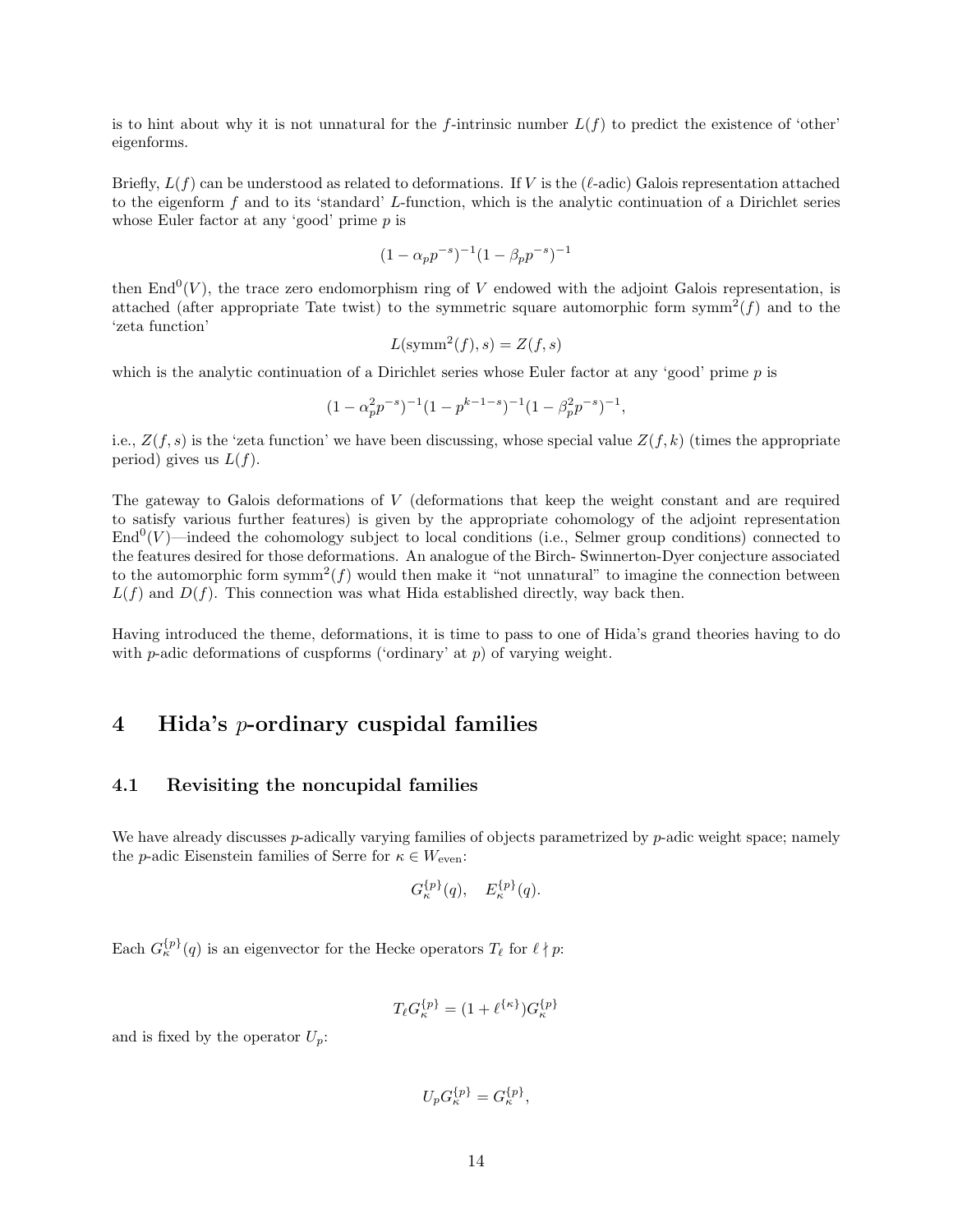is to hint about why it is not unnatural for the f-intrinsic number  $L(f)$  to predict the existence of 'other' eigenforms.

Briefly,  $L(f)$  can be understood as related to deformations. If V is the ( $\ell$ -adic) Galois representation attached to the eigenform f and to its 'standard' L-function, which is the analytic continuation of a Dirichlet series whose Euler factor at any 'good' prime  $p$  is

$$
(1 - \alpha_p p^{-s})^{-1} (1 - \beta_p p^{-s})^{-1}
$$

then  $\text{End}^0(V)$ , the trace zero endomorphism ring of V endowed with the adjoint Galois representation, is attached (after appropriate Tate twist) to the symmetric square automorphic form symm<sup>2</sup> $(f)$  and to the 'zeta function'

$$
L(\mathrm{symm}^2(f), s) = Z(f, s)
$$

which is the analytic continuation of a Dirichlet series whose Euler factor at any 'good' prime p is

$$
(1 - \alpha_p^2 p^{-s})^{-1} (1 - p^{k-1-s})^{-1} (1 - \beta_p^2 p^{-s})^{-1},
$$

i.e.,  $Z(f, s)$  is the 'zeta function' we have been discussing, whose special value  $Z(f, k)$  (times the appropriate period) gives us  $L(f)$ .

The gateway to Galois deformations of V (deformations that keep the weight constant and are required to satisfy various further features) is given by the appropriate cohomology of the adjoint representation  $\text{End}^0(V)$ —indeed the cohomology subject to local conditions (i.e., Selmer group conditions) connected to the features desired for those deformations. An analogue of the Birch- Swinnerton-Dyer conjecture associated to the automorphic form symm<sup>2</sup> $(f)$  would then make it "not unnatural" to imagine the connection between  $L(f)$  and  $D(f)$ . This connection was what Hida established directly, way back then.

Having introduced the theme, deformations, it is time to pass to one of Hida's grand theories having to do with p-adic deformations of cuspforms ('ordinary' at p) of varying weight.

# 4 Hida's p-ordinary cuspidal families

#### 4.1 Revisiting the noncupidal families

We have already discusses  $p$ -adically varying families of objects parametrized by  $p$ -adic weight space; namely the *p*-adic Eisenstein families of Serre for  $\kappa \in W_{\text{even}}$ :

$$
G_{\kappa}^{\{p\}}(q),\quad E_{\kappa}^{\{p\}}(q).
$$

Each  $G_{\kappa}^{\{p\}}(q)$  is an eigenvector for the Hecke operators  $T_{\ell}$  for  $\ell \nmid p$ :

$$
T_{\ell}G_{\kappa}^{\{ \!\!\!\ p \ \!\!\!\}}=(1+\ell^{\{\kappa\}})G_{\kappa}^{\{ \!\!\!\ p \ \!\!\!\}}
$$

and is fixed by the operator  $U_p$ :

$$
U_p G_{\kappa}^{\{p\}} = G_{\kappa}^{\{p\}},
$$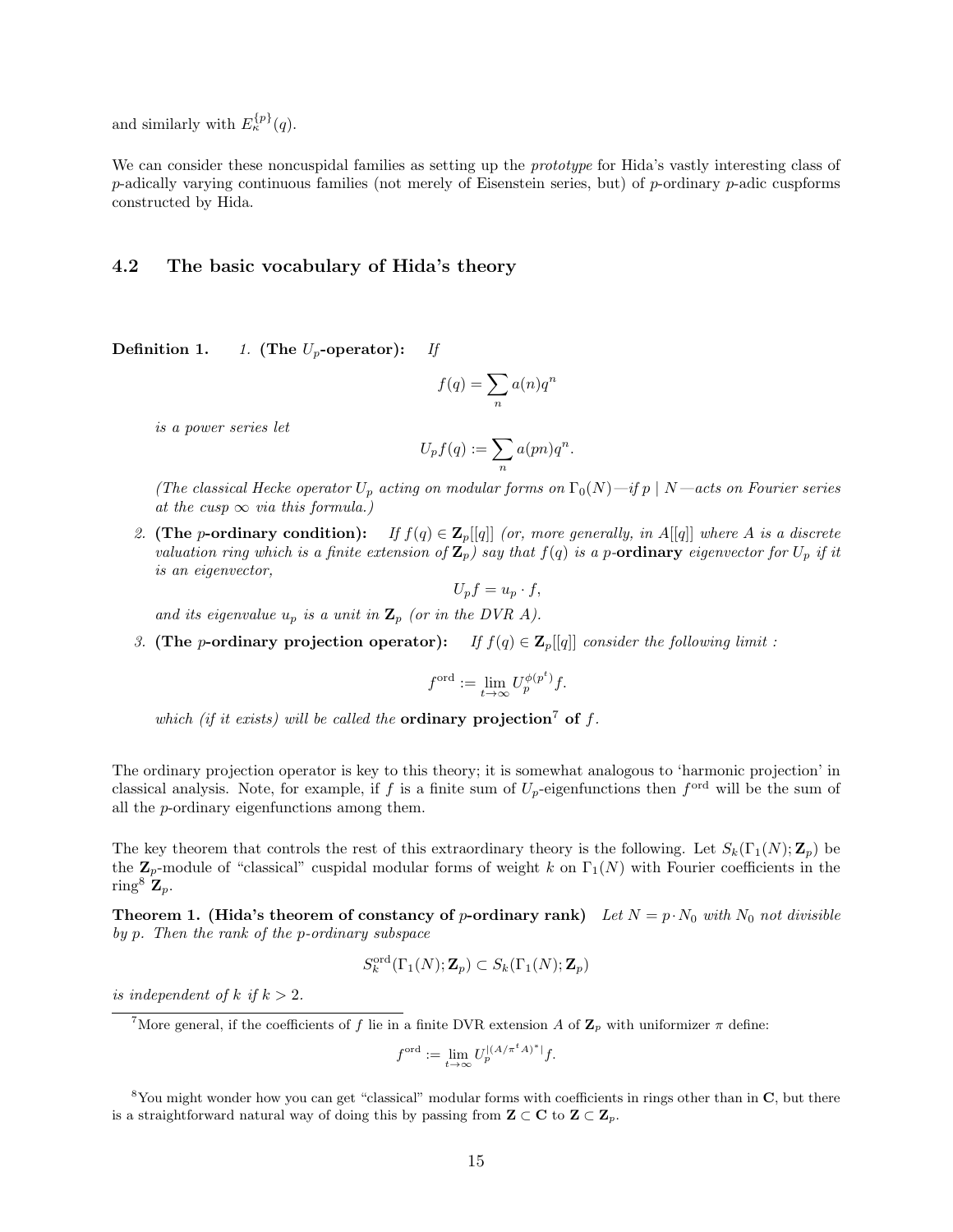and similarly with  $E_{\kappa}^{\{p\}}(q)$ .

We can consider these noncuspidal families as setting up the *prototype* for Hida's vastly interesting class of p-adically varying continuous families (not merely of Eisenstein series, but) of p-ordinary p-adic cuspforms constructed by Hida.

#### 4.2 The basic vocabulary of Hida's theory

Definition 1. 1. (The  $U_p$ -operator): If

$$
f(q) = \sum_{n} a(n)q^{n}
$$

is a power series let

$$
U_p f(q) := \sum_n a(pn)q^n.
$$

(The classical Hecke operator  $U_p$  acting on modular forms on  $\Gamma_0(N)$  —if  $p \mid N$  —acts on Fourier series at the cusp  $\infty$  via this formula.)

2. (The p-ordinary condition): If  $f(q) \in \mathbb{Z}_p[[q]]$  (or, more generally, in A[[q]] where A is a discrete valuation ring which is a finite extension of  $\mathbf{Z}_p$ ) say that  $f(q)$  is a p-ordinary eigenvector for  $U_p$  if it is an eigenvector,

$$
U_p f = u_p \cdot f,
$$

and its eigenvalue  $u_p$  is a unit in  $\mathbf{Z}_p$  (or in the DVR A).

3. (The p-ordinary projection operator): If  $f(q) \in \mathbb{Z}_p[[q]]$  consider the following limit:

$$
f^{\text{ord}} := \lim_{t \to \infty} U_p^{\phi(p^t)} f.
$$

which (if it exists) will be called the **ordinary projection**<sup>7</sup> of f.

The ordinary projection operator is key to this theory; it is somewhat analogous to 'harmonic projection' in classical analysis. Note, for example, if f is a finite sum of  $U_p$ -eigenfunctions then  $f^{\text{ord}}$  will be the sum of all the p-ordinary eigenfunctions among them.

The key theorem that controls the rest of this extraordinary theory is the following. Let  $S_k(\Gamma_1(N);\mathbf{Z}_p)$  be the  $\mathbf{Z}_p$ -module of "classical" cuspidal modular forms of weight k on  $\Gamma_1(N)$  with Fourier coefficients in the ring<sup>8</sup>  $\mathbf{Z}_p$ .

**Theorem 1. (Hida's theorem of constancy of p-ordinary rank)** Let  $N = p \cdot N_0$  with  $N_0$  not divisible by p. Then the rank of the p-ordinary subspace

$$
S_k^{\text{ord}}(\Gamma_1(N);{\bf Z}_p)\subset S_k(\Gamma_1(N);{\bf Z}_p)
$$

is independent of k if  $k > 2$ .

$$
f^{\mathrm{ord}}:=\lim_{t\to\infty}U_p^{|(A/\pi^t A)^*|}f.
$$

<sup>&</sup>lt;sup>7</sup>More general, if the coefficients of f lie in a finite DVR extension A of  $\mathbb{Z}_p$  with uniformizer  $\pi$  define:

 $8$ You might wonder how you can get "classical" modular forms with coefficients in rings other than in  $C$ , but there is a straightforward natural way of doing this by passing from  $\mathbf{Z} \subset \mathbf{C}$  to  $\mathbf{Z} \subset \mathbf{Z}_p$ .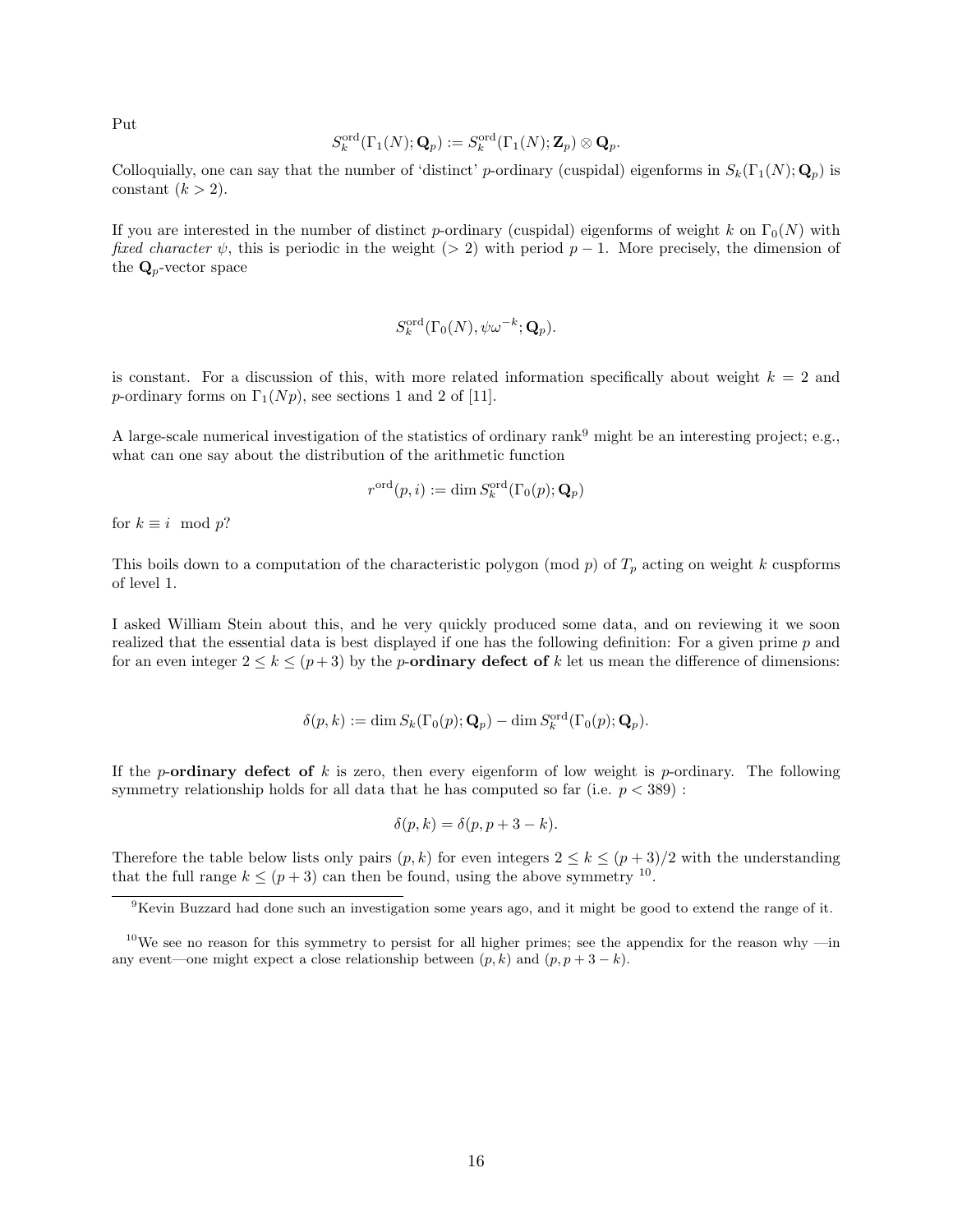Put

$$
S_k^{\operatorname{ord}}(\Gamma_1(N);{\mathbf Q}_p):=S_k^{\operatorname{ord}}(\Gamma_1(N);{\mathbf Z}_p)\otimes {\mathbf Q}_p.
$$

Colloquially, one can say that the number of 'distinct' p-ordinary (cuspidal) eigenforms in  $S_k(\Gamma_1(N); \mathbf{Q}_n)$  is constant  $(k > 2)$ .

If you are interested in the number of distinct p-ordinary (cuspidal) eigenforms of weight k on  $\Gamma_0(N)$  with fixed character  $\psi$ , this is periodic in the weight (> 2) with period  $p-1$ . More precisely, the dimension of the  $\mathbf{Q}_p$ -vector space

$$
S_k^{\text{ord}}(\Gamma_0(N), \psi \omega^{-k}; \mathbf{Q}_p).
$$

is constant. For a discussion of this, with more related information specifically about weight  $k = 2$  and p-ordinary forms on  $\Gamma_1(Np)$ , see sections 1 and 2 of [11].

A large-scale numerical investigation of the statistics of ordinary rank<sup>9</sup> might be an interesting project; e.g., what can one say about the distribution of the arithmetic function

$$
r^{\operatorname{ord}}(p,i):=\dim S_k^{\operatorname{ord}}(\Gamma_0(p);\mathbf{Q}_p)
$$

for  $k \equiv i \mod p$ ?

This boils down to a computation of the characteristic polygon (mod  $p$ ) of  $T_p$  acting on weight k cuspforms of level 1.

I asked William Stein about this, and he very quickly produced some data, and on reviewing it we soon realized that the essential data is best displayed if one has the following definition: For a given prime p and for an even integer  $2 \leq k \leq (p+3)$  by the *p*-ordinary defect of k let us mean the difference of dimensions:

$$
\delta(p,k) := \dim S_k(\Gamma_0(p); \mathbf{Q}_p) - \dim S_k^{\text{ord}}(\Gamma_0(p); \mathbf{Q}_p).
$$

If the p-ordinary defect of k is zero, then every eigenform of low weight is p-ordinary. The following symmetry relationship holds for all data that he has computed so far (i.e.  $p < 389$ ):

$$
\delta(p,k) = \delta(p, p+3-k).
$$

Therefore the table below lists only pairs  $(p, k)$  for even integers  $2 \leq k \leq (p + 3)/2$  with the understanding that the full range  $k \leq (p+3)$  can then be found, using the above symmetry <sup>10</sup>.

<sup>9</sup>Kevin Buzzard had done such an investigation some years ago, and it might be good to extend the range of it.

<sup>&</sup>lt;sup>10</sup>We see no reason for this symmetry to persist for all higher primes; see the appendix for the reason why —in any event—one might expect a close relationship between  $(p, k)$  and  $(p, p + 3 - k)$ .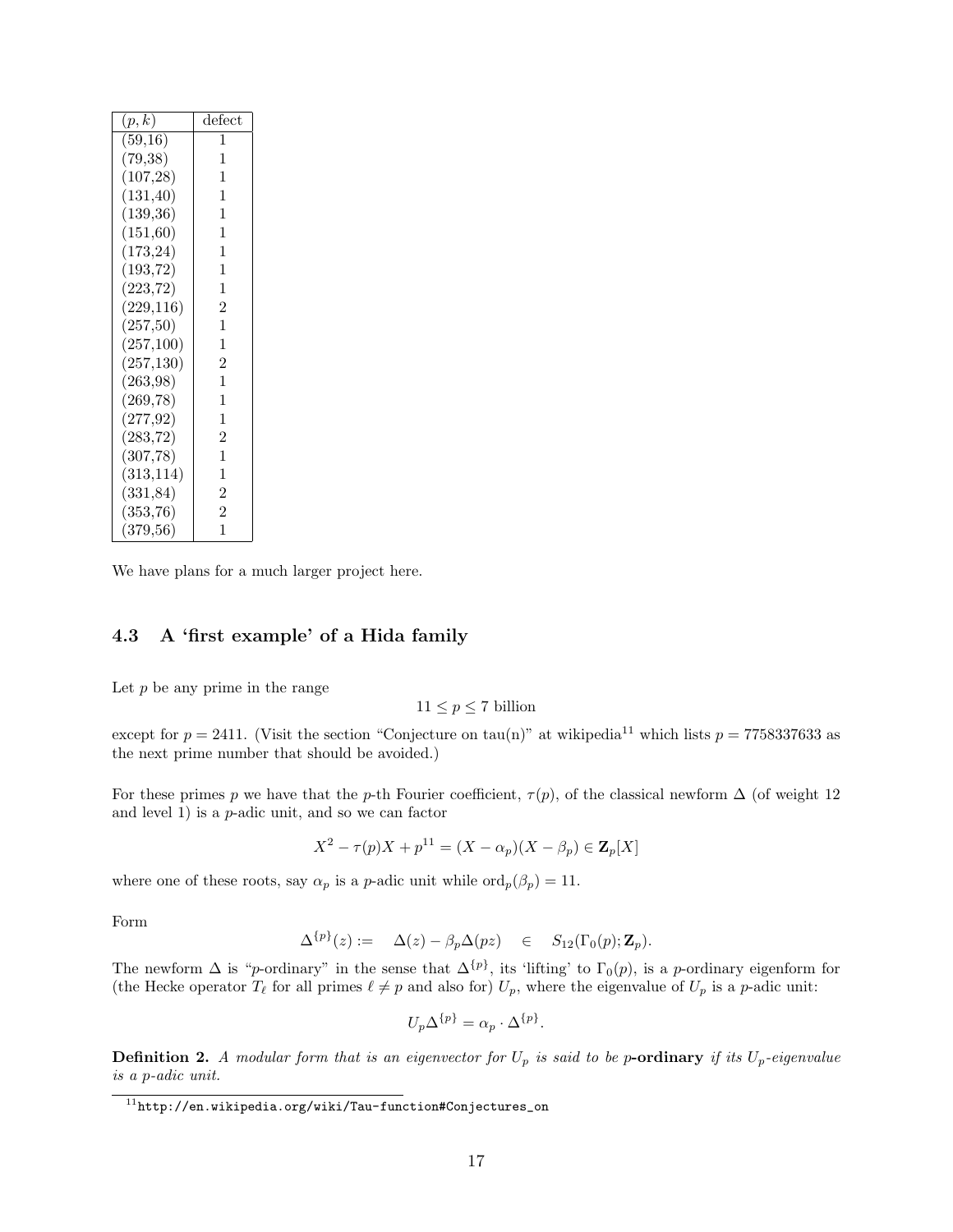| (p,k)      | defect         |  |
|------------|----------------|--|
| (59,16)    | 1              |  |
| (79, 38)   | 1              |  |
| (107, 28)  | 1              |  |
| (131, 40)  | 1              |  |
| (139,36)   | 1              |  |
| (151,60)   | 1              |  |
| (173, 24)  | 1              |  |
| (193, 72)  | 1              |  |
| (223, 72)  | 1              |  |
| (229, 116) | $\overline{2}$ |  |
| (257,50)   | 1              |  |
| (257,100)  | 1              |  |
| (257, 130) | $\overline{2}$ |  |
| (263,98)   | 1              |  |
| (269, 78)  | 1              |  |
| (277, 92)  | 1              |  |
| (283, 72)  | $\overline{2}$ |  |
| (307, 78)  | 1              |  |
| (313, 114) | 1              |  |
| (331, 84)  | $\overline{2}$ |  |
| (353, 76)  | $\overline{2}$ |  |
| (379, 56)  | 1              |  |

We have plans for a much larger project here.

## 4.3 A 'first example' of a Hida family

Let  $p$  be any prime in the range

 $11\leq p\leq 7$  billion

except for  $p = 2411$ . (Visit the section "Conjecture on tau(n)" at wikipedia<sup>11</sup> which lists  $p = 7758337633$  as the next prime number that should be avoided.)

For these primes p we have that the p-th Fourier coefficient,  $\tau(p)$ , of the classical newform  $\Delta$  (of weight 12 and level 1) is a  $p$ -adic unit, and so we can factor

$$
X^{2} - \tau(p)X + p^{11} = (X - \alpha_{p})(X - \beta_{p}) \in \mathbf{Z}_{p}[X]
$$

where one of these roots, say  $\alpha_p$  is a p-adic unit while  $\text{ord}_p(\beta_p) = 11$ .

Form

$$
\Delta^{\{p\}}(z) := \Delta(z) - \beta_p \Delta(pz) \in S_{12}(\Gamma_0(p); \mathbf{Z}_p).
$$

The newform  $\Delta$  is "p-ordinary" in the sense that  $\Delta^{\{p\}}$ , its 'lifting' to  $\Gamma_0(p)$ , is a p-ordinary eigenform for (the Hecke operator  $T_\ell$  for all primes  $\ell \neq p$  and also for)  $U_p$ , where the eigenvalue of  $U_p$  is a p-adic unit:

$$
U_p \Delta^{\{p\}} = \alpha_p \cdot \Delta^{\{p\}}.
$$

**Definition 2.** A modular form that is an eigenvector for  $U_p$  is said to be p-ordinary if its  $U_p$ -eigenvalue is a p-adic unit.

 $11$ http://en.wikipedia.org/wiki/Tau-function#Conjectures\_on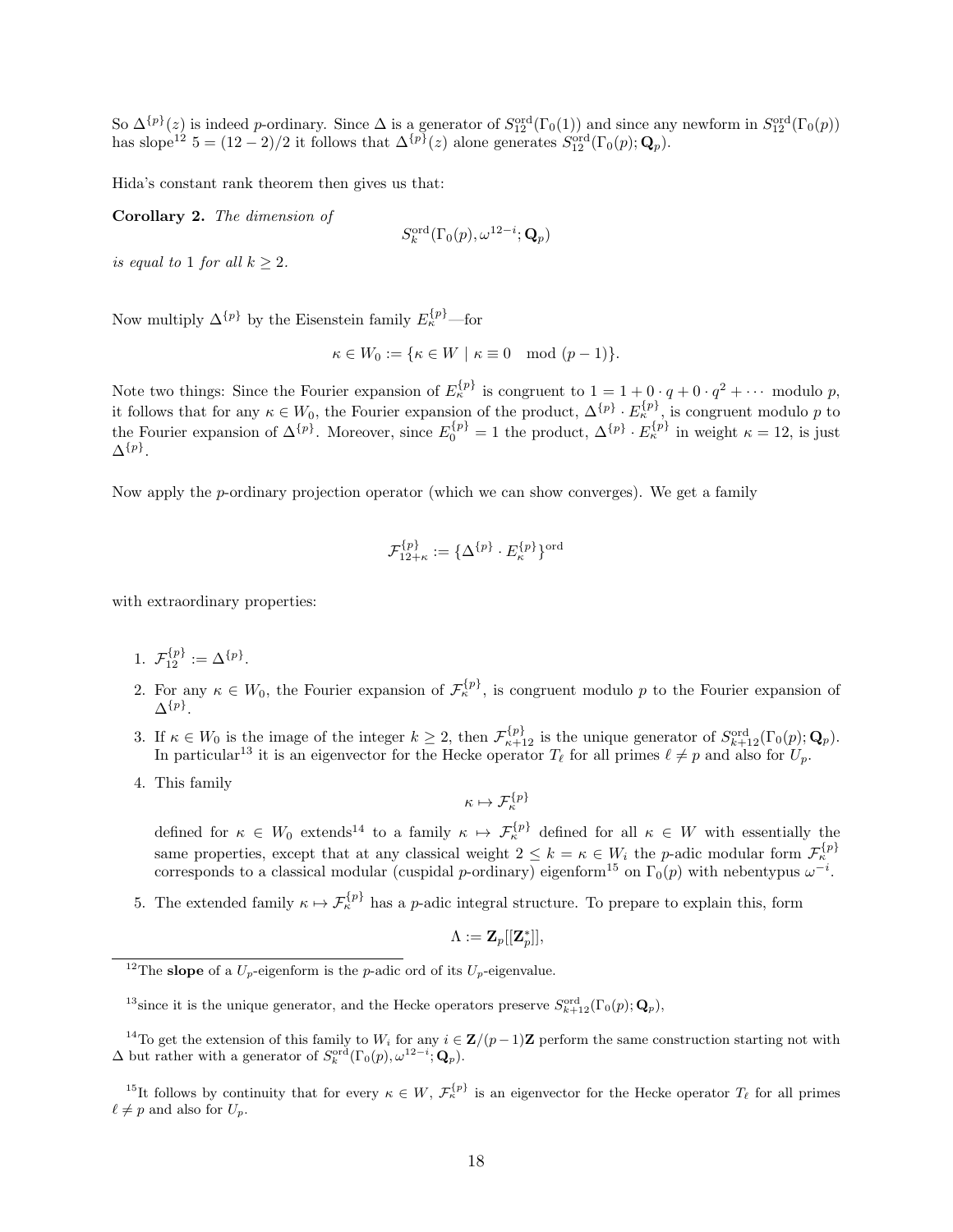So  $\Delta^{\{p\}}(z)$  is indeed p-ordinary. Since  $\Delta$  is a generator of  $S_{12}^{\text{ord}}(\Gamma_0(1))$  and since any newform in  $S_{12}^{\text{ord}}(\Gamma_0(p))$ has slope<sup>12</sup>  $5 = (12-2)/2$  it follows that  $\Delta^{\{p\}}(z)$  alone generates  $S_{12}^{\text{ord}}(\Gamma_0(p); \mathbf{Q}_p)$ .

Hida's constant rank theorem then gives us that:

Corollary 2. The dimension of

$$
S_k^{\mathrm{ord}}(\Gamma_0(p),\omega^{12-i};\mathbf{Q}_p)
$$

is equal to 1 for all  $k > 2$ .

Now multiply  $\Delta^{\{p\}}$  by the Eisenstein family  $E_{\kappa}^{\{p\}}$ —for

$$
\kappa \in W_0 := \{ \kappa \in W \mid \kappa \equiv 0 \mod (p-1) \}.
$$

Note two things: Since the Fourier expansion of  $E_{\kappa}^{\{p\}}$  is congruent to  $1 = 1 + 0 \cdot q + 0 \cdot q^2 + \cdots$  modulo p, it follows that for any  $\kappa \in W_0$ , the Fourier expansion of the product,  $\Delta^{\{p\}} \cdot E_{\kappa}^{\{p\}}$ , is congruent modulo p to the Fourier expansion of  $\Delta^{\{p\}}$ . Moreover, since  $E_0^{\{p\}} = 1$  the product,  $\Delta^{\{p\}} \cdot E_\kappa^{\{p\}}$  in weight  $\kappa = 12$ , is just  $\Delta^{\{p\}}.$ 

Now apply the p-ordinary projection operator (which we can show converges). We get a family

$$
\mathcal{F}^{\{p\}}_{12+\kappa}:=\{\Delta^{\{p\}}\cdot E_\kappa^{\{p\}}\}^{\text{ord}}
$$

with extraordinary properties:

1.  $\mathcal{F}_{12}^{\{p\}} := \Delta^{\{p\}}$ .

- 2. For any  $\kappa \in W_0$ , the Fourier expansion of  $\mathcal{F}_{\kappa}^{\{p\}}$ , is congruent modulo p to the Fourier expansion of  $\Delta^{\{p\}}.$
- 3. If  $\kappa \in W_0$  is the image of the integer  $k \geq 2$ , then  $\mathcal{F}^{\{p\}}_{\kappa+12}$  is the unique generator of  $S_{k+12}^{\text{ord}}(\Gamma_0(p); \mathbf{Q}_p)$ . In particular<sup>13</sup> it is an eigenvector for the Hecke operator  $T_\ell$  for all primes  $\ell \neq p$  and also for  $U_p$ .
- 4. This family

$$
\kappa\mapsto \mathcal{F}^{\{ \!\!\!\ p \ \!\!\!\}}
$$

defined for  $\kappa \in W_0$  extends<sup>14</sup> to a family  $\kappa \mapsto \mathcal{F}^{\{p\}}_{\kappa}$  defined for all  $\kappa \in W$  with essentially the same properties, except that at any classical weight  $2 \leq k = \kappa \in W_i$  the *p*-adic modular form  $\mathcal{F}^{\{p\}}_{\kappa}$ corresponds to a classical modular (cuspidal p-ordinary) eigenform<sup>15</sup> on  $\Gamma_0(p)$  with nebentypus  $\omega^{-i}$ .

5. The extended family  $\kappa \mapsto \mathcal{F}^{\{p\}}_{\kappa}$  has a p-adic integral structure. To prepare to explain this, form

$$
\Lambda := \mathbf{Z}_p[[\mathbf{Z}_p^*]],
$$

<sup>&</sup>lt;sup>12</sup>The **slope** of a  $\overline{U_p}$ -eigenform is the *p*-adic ord of its  $U_p$ -eigenvalue.

<sup>&</sup>lt;sup>13</sup>since it is the unique generator, and the Hecke operators preserve  $S_{k+12}^{\text{ord}}(\Gamma_0(p); \mathbf{Q}_p)$ ,

<sup>&</sup>lt;sup>14</sup>To get the extension of this family to W<sub>i</sub> for any  $i \in \mathbf{Z}/(p-1)\mathbf{Z}$  perform the same construction starting not with  $\Delta$  but rather with a generator of  $S_k^{\text{ord}}(\Gamma_0(p), \omega^{12-i}; \mathbf{Q}_p)$ .

<sup>&</sup>lt;sup>15</sup>It follows by continuity that for every  $\kappa \in W$ ,  $\mathcal{F}_{\kappa}^{\{p\}}$  is an eigenvector for the Hecke operator  $T_{\ell}$  for all primes  $\ell \neq p$  and also for  $U_p$ .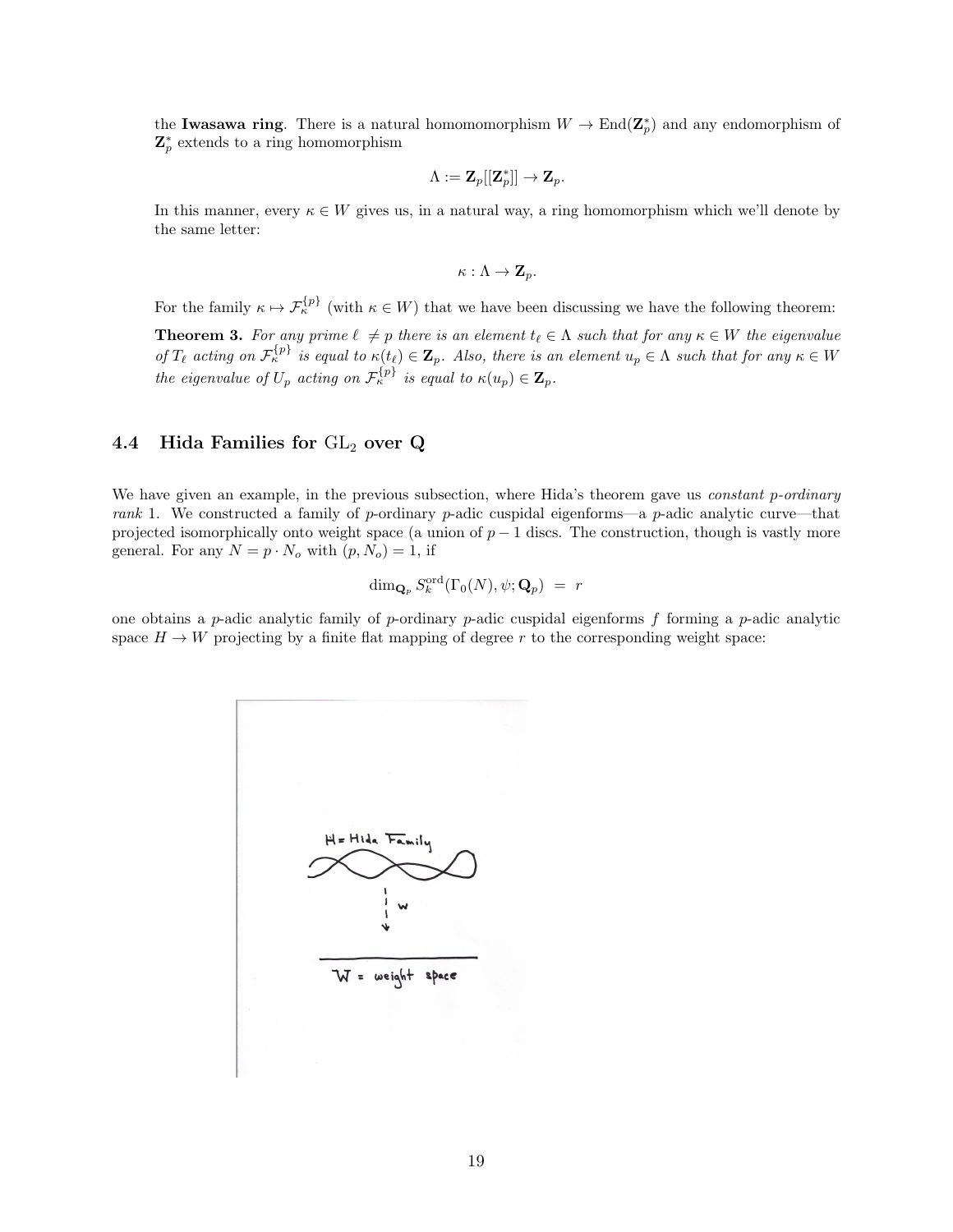the Iwasawa ring. There is a natural homomomorphism  $W \to \text{End}(\mathbb{Z}_p^*)$  and any endomorphism of  $\mathbf{Z}_p^*$  extends to a ring homomorphism

$$
\Lambda := \mathbf{Z}_p[[\mathbf{Z}_p^*]] \to \mathbf{Z}_p.
$$

In this manner, every  $\kappa \in W$  gives us, in a natural way, a ring homomorphism which we'll denote by the same letter:

$$
\kappa:\Lambda\to\mathbf{Z}_p.
$$

For the family  $\kappa \mapsto \mathcal{F}^{\{p\}}_{\kappa}$  (with  $\kappa \in W$ ) that we have been discussing we have the following theorem:

**Theorem 3.** For any prime  $\ell \neq p$  there is an element  $t_{\ell} \in \Lambda$  such that for any  $\kappa \in W$  the eigenvalue of  $T_{\ell}$  acting on  $\mathcal{F}_{\kappa}^{\{p\}}$  is equal to  $\kappa(t_{\ell}) \in \mathbf{Z}_p$ . Also, there is an element  $u_p \in \Lambda$  such that for any  $\kappa \in W$ the eigenvalue of  $U_p$  acting on  $\mathcal{F}_{\kappa}^{\{p\}}$  is equal to  $\kappa(u_p) \in \mathbf{Z}_p$ .

#### 4.4 Hida Families for  $GL_2$  over Q

We have given an example, in the previous subsection, where Hida's theorem gave us *constant p-ordinary* rank 1. We constructed a family of p-ordinary p-adic cuspidal eigenforms—a p-adic analytic curve—that projected isomorphically onto weight space (a union of  $p - 1$  discs. The construction, though is vastly more general. For any  $N = p \cdot N_o$  with  $(p, N_o) = 1$ , if

$$
\dim_{\mathbf{Q}_p} S_k^{\mathrm{ord}}(\Gamma_0(N), \psi; \mathbf{Q}_p) = r
$$

one obtains a p-adic analytic family of p-ordinary p-adic cuspidal eigenforms f forming a p-adic analytic space  $H \to W$  projecting by a finite flat mapping of degree r to the corresponding weight space:

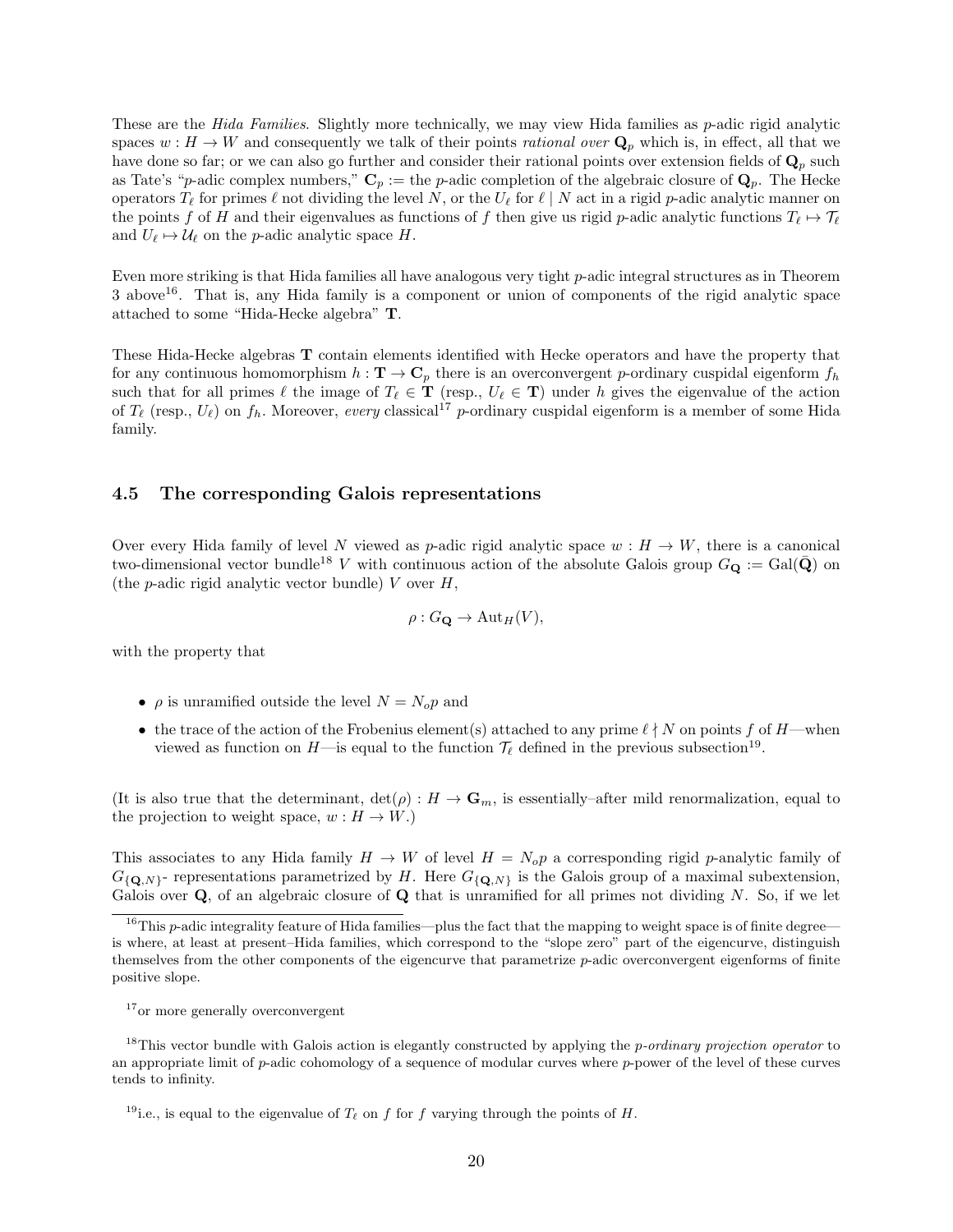These are the *Hida Families*. Slightly more technically, we may view Hida families as *p*-adic rigid analytic spaces  $w : H \to W$  and consequently we talk of their points *rational over*  $\mathbf{Q}_p$  which is, in effect, all that we have done so far; or we can also go further and consider their rational points over extension fields of  $\mathbf{Q}_p$  such as Tate's "p-adic complex numbers,"  $C_p :=$  the p-adic completion of the algebraic closure of  $Q_p$ . The Hecke operators  $T_\ell$  for primes  $\ell$  not dividing the level N, or the  $U_\ell$  for  $\ell \mid N$  act in a rigid p-adic analytic manner on the points f of H and their eigenvalues as functions of f then give us rigid p-adic analytic functions  $T_\ell \mapsto T_\ell$ and  $U_{\ell} \mapsto \mathcal{U}_{\ell}$  on the p-adic analytic space H.

Even more striking is that Hida families all have analogous very tight p-adic integral structures as in Theorem 3 above16. That is, any Hida family is a component or union of components of the rigid analytic space attached to some "Hida-Hecke algebra" T.

These Hida-Hecke algebras T contain elements identified with Hecke operators and have the property that for any continuous homomorphism  $h : \mathbf{T} \to \mathbf{C}_p$  there is an overconvergent p-ordinary cuspidal eigenform  $f_h$ such that for all primes  $\ell$  the image of  $T_\ell \in \mathbf{T}$  (resp.,  $U_\ell \in \mathbf{T}$ ) under h gives the eigenvalue of the action of  $T_\ell$  (resp.,  $U_\ell$ ) on  $f_h$ . Moreover, every classical<sup>17</sup> p-ordinary cuspidal eigenform is a member of some Hida family.

#### 4.5 The corresponding Galois representations

Over every Hida family of level N viewed as p-adic rigid analytic space  $w : H \to W$ , there is a canonical two-dimensional vector bundle<sup>18</sup> V with continuous action of the absolute Galois group  $G_{\mathbf{Q}} := \text{Gal}(\bar{\mathbf{Q}})$  on (the *p*-adic rigid analytic vector bundle)  $V$  over  $H$ ,

$$
\rho: G_{\mathbf{Q}} \to \mathrm{Aut}_H(V),
$$

with the property that

- $\rho$  is unramified outside the level  $N = N_o p$  and
- the trace of the action of the Frobenius element(s) attached to any prime  $\ell \nmid N$  on points f of H—when viewed as function on  $H$ —is equal to the function  $\mathcal{T}_{\ell}$  defined in the previous subsection<sup>19</sup>.

(It is also true that the determinant,  $\det(\rho) : H \to \mathbf{G}_m$ , is essentially–after mild renormalization, equal to the projection to weight space,  $w : H \to W$ .)

This associates to any Hida family  $H \to W$  of level  $H = N_o p$  a corresponding rigid p-analytic family of  $G_{\{Q,N\}}$ - representations parametrized by H. Here  $G_{\{Q,N\}}$  is the Galois group of a maximal subextension, Galois over  $\bf Q$ , of an algebraic closure of  $\bf Q$  that is unramified for all primes not dividing N. So, if we let

 $16$ This p-adic integrality feature of Hida families—plus the fact that the mapping to weight space is of finite degree is where, at least at present–Hida families, which correspond to the "slope zero" part of the eigencurve, distinguish themselves from the other components of the eigencurve that parametrize p-adic overconvergent eigenforms of finite positive slope.

<sup>&</sup>lt;sup>17</sup> or more generally overconvergent

<sup>&</sup>lt;sup>18</sup>This vector bundle with Galois action is elegantly constructed by applying the *p-ordinary projection operator* to an appropriate limit of  $p$ -adic cohomology of a sequence of modular curves where  $p$ -power of the level of these curves tends to infinity.

<sup>&</sup>lt;sup>19</sup>i.e., is equal to the eigenvalue of  $T_\ell$  on f for f varying through the points of H.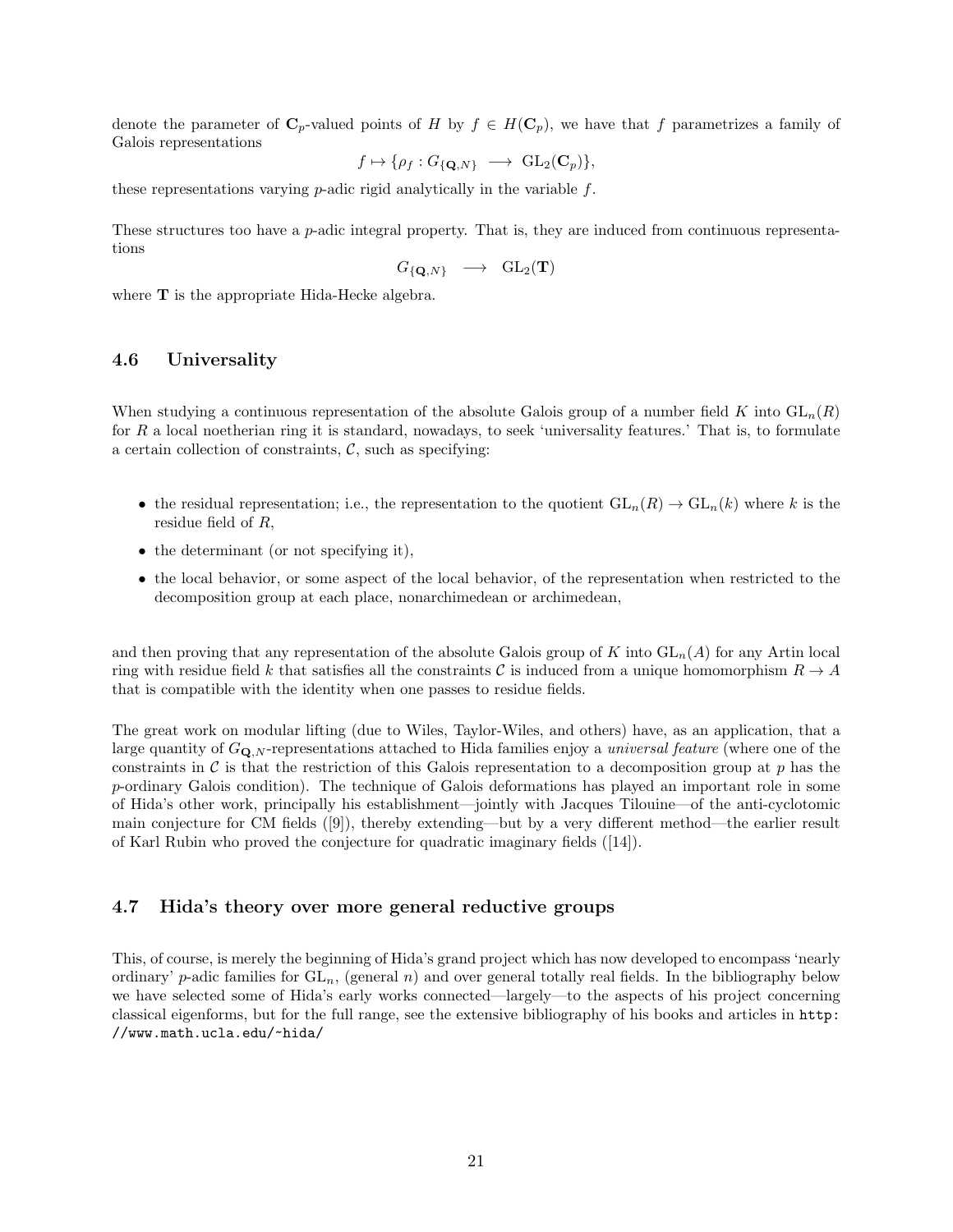denote the parameter of  $\mathbf{C}_p$ -valued points of H by  $f \in H(\mathbf{C}_p)$ , we have that f parametrizes a family of Galois representations

$$
f \mapsto {\rho_f : G_{\{Q,N\}} \longrightarrow GL_2(\mathbf{C}_p)},
$$

these representations varying  $p$ -adic rigid analytically in the variable  $f$ .

These structures too have a p-adic integral property. That is, they are induced from continuous representations

$$
G_{\{Q,N\}} \longrightarrow GL_2(\mathbf{T})
$$

where **T** is the appropriate Hida-Hecke algebra.

#### 4.6 Universality

When studying a continuous representation of the absolute Galois group of a number field K into  $GL_n(R)$ for R a local noetherian ring it is standard, nowadays, to seek 'universality features.' That is, to formulate a certain collection of constraints,  $\mathcal{C}$ , such as specifying:

- the residual representation; i.e., the representation to the quotient  $GL_n(R) \to GL_n(k)$  where k is the residue field of R,
- the determinant (or not specifying it),
- the local behavior, or some aspect of the local behavior, of the representation when restricted to the decomposition group at each place, nonarchimedean or archimedean,

and then proving that any representation of the absolute Galois group of K into  $GL_n(A)$  for any Artin local ring with residue field k that satisfies all the constraints C is induced from a unique homomorphism  $R \to A$ that is compatible with the identity when one passes to residue fields.

The great work on modular lifting (due to Wiles, Taylor-Wiles, and others) have, as an application, that a large quantity of  $G_{\mathbf{Q},N}$ -representations attached to Hida families enjoy a *universal feature* (where one of the constraints in  $\mathcal C$  is that the restriction of this Galois representation to a decomposition group at p has the p-ordinary Galois condition). The technique of Galois deformations has played an important role in some of Hida's other work, principally his establishment—jointly with Jacques Tilouine—of the anti-cyclotomic main conjecture for CM fields ([9]), thereby extending—but by a very different method—the earlier result of Karl Rubin who proved the conjecture for quadratic imaginary fields ([14]).

## 4.7 Hida's theory over more general reductive groups

This, of course, is merely the beginning of Hida's grand project which has now developed to encompass 'nearly ordinary' p-adic families for  $GL_n$ , (general n) and over general totally real fields. In the bibliography below we have selected some of Hida's early works connected—largely—to the aspects of his project concerning classical eigenforms, but for the full range, see the extensive bibliography of his books and articles in http: //www.math.ucla.edu/~hida/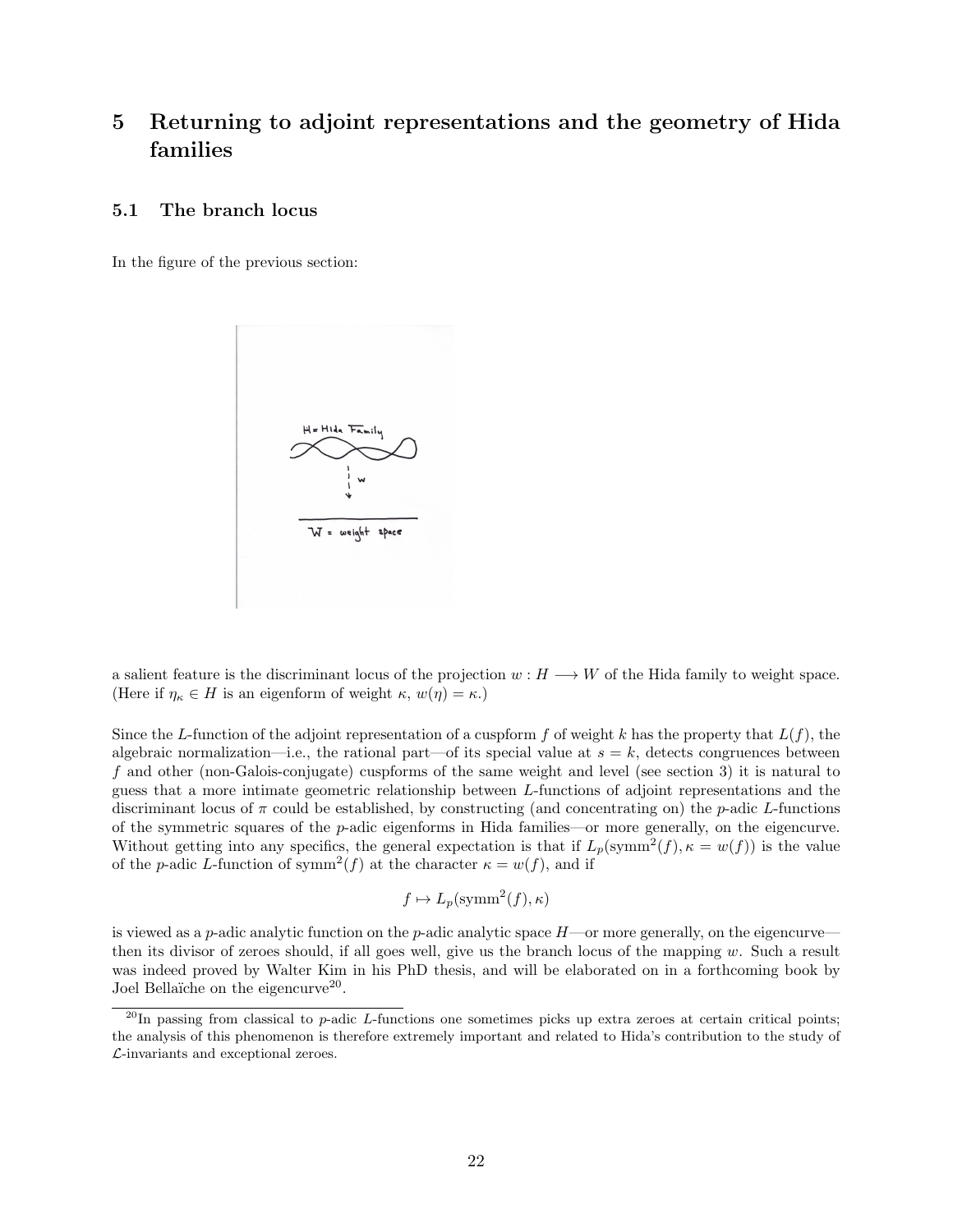# 5 Returning to adjoint representations and the geometry of Hida families

#### 5.1 The branch locus

In the figure of the previous section:



a salient feature is the discriminant locus of the projection  $w : H \longrightarrow W$  of the Hida family to weight space. (Here if  $\eta_{\kappa} \in H$  is an eigenform of weight  $\kappa, w(\eta) = \kappa$ .)

Since the L-function of the adjoint representation of a cuspform f of weight k has the property that  $L(f)$ , the algebraic normalization—i.e., the rational part—of its special value at  $s = k$ , detects congruences between f and other (non-Galois-conjugate) cuspforms of the same weight and level (see section 3) it is natural to guess that a more intimate geometric relationship between L-functions of adjoint representations and the discriminant locus of  $\pi$  could be established, by constructing (and concentrating on) the p-adic L-functions of the symmetric squares of the p-adic eigenforms in Hida families—or more generally, on the eigencurve. Without getting into any specifics, the general expectation is that if  $L_p(\text{symm}^2(f), \kappa = w(f))$  is the value of the *p*-adic L-function of symm<sup>2</sup>(f) at the character  $\kappa = w(f)$ , and if

$$
f \mapsto L_p(\text{symm}^2(f), \kappa)
$$

is viewed as a p-adic analytic function on the p-adic analytic space  $H$ —or more generally, on the eigencurve then its divisor of zeroes should, if all goes well, give us the branch locus of the mapping  $w$ . Such a result was indeed proved by Walter Kim in his PhD thesis, and will be elaborated on in a forthcoming book by Joel Bellaïche on the eigencurve<sup>20</sup>.

 $^{20}$ In passing from classical to p-adic L-functions one sometimes picks up extra zeroes at certain critical points; the analysis of this phenomenon is therefore extremely important and related to Hida's contribution to the study of L-invariants and exceptional zeroes.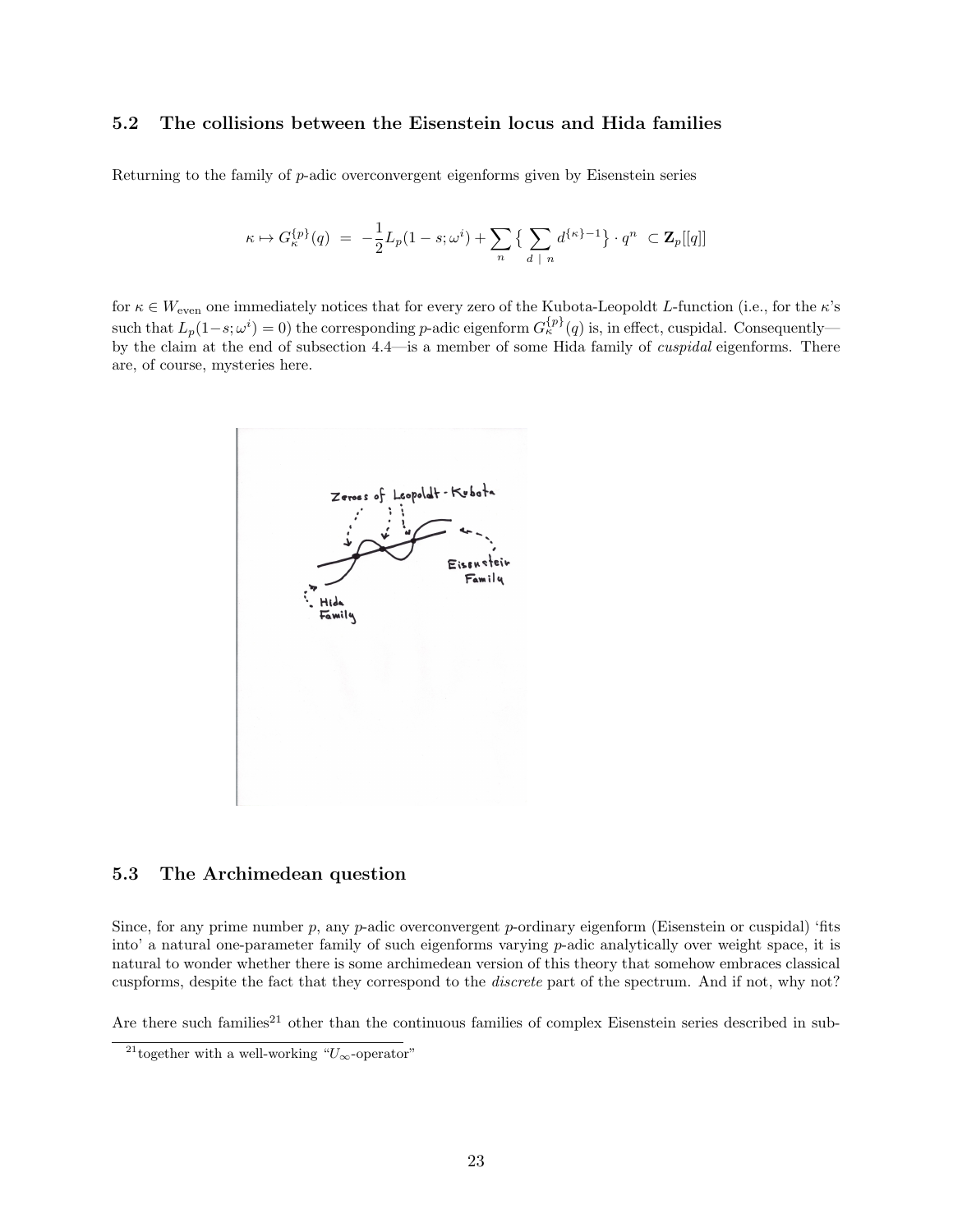## 5.2 The collisions between the Eisenstein locus and Hida families

Returning to the family of  $p$ -adic overconvergent eigenforms given by Eisenstein series

$$
\kappa \mapsto G_{\kappa}^{\{ \!\!\!\ p \ \!\!\!\}}(q) \ = \ -\frac{1}{2}L_p(1-s;\omega^i) + \sum_n\big\{\sum_{d \ |\ n}d^{\{\kappa\}-1}\big\}\cdot q^n \ \subset {\mathbf Z}_p[[q]]
$$

for  $\kappa \in W_{\text{even}}$  one immediately notices that for every zero of the Kubota-Leopoldt L-function (i.e., for the  $\kappa$ 's such that  $L_p(1-s;\omega^i) = 0$ ) the corresponding p-adic eigenform  $G_{\kappa}^{\{p\}}(q)$  is, in effect, cuspidal. Consequently by the claim at the end of subsection 4.4—is a member of some Hida family of *cuspidal* eigenforms. There are, of course, mysteries here.



### 5.3 The Archimedean question

Since, for any prime number  $p$ , any  $p$ -adic overconvergent  $p$ -ordinary eigenform (Eisenstein or cuspidal) 'fits into' a natural one-parameter family of such eigenforms varying p-adic analytically over weight space, it is natural to wonder whether there is some archimedean version of this theory that somehow embraces classical cuspforms, despite the fact that they correspond to the discrete part of the spectrum. And if not, why not?

Are there such families<sup>21</sup> other than the continuous families of complex Eisenstein series described in sub-

<sup>&</sup>lt;sup>21</sup>together with a well-working " $U_{\infty}$ -operator"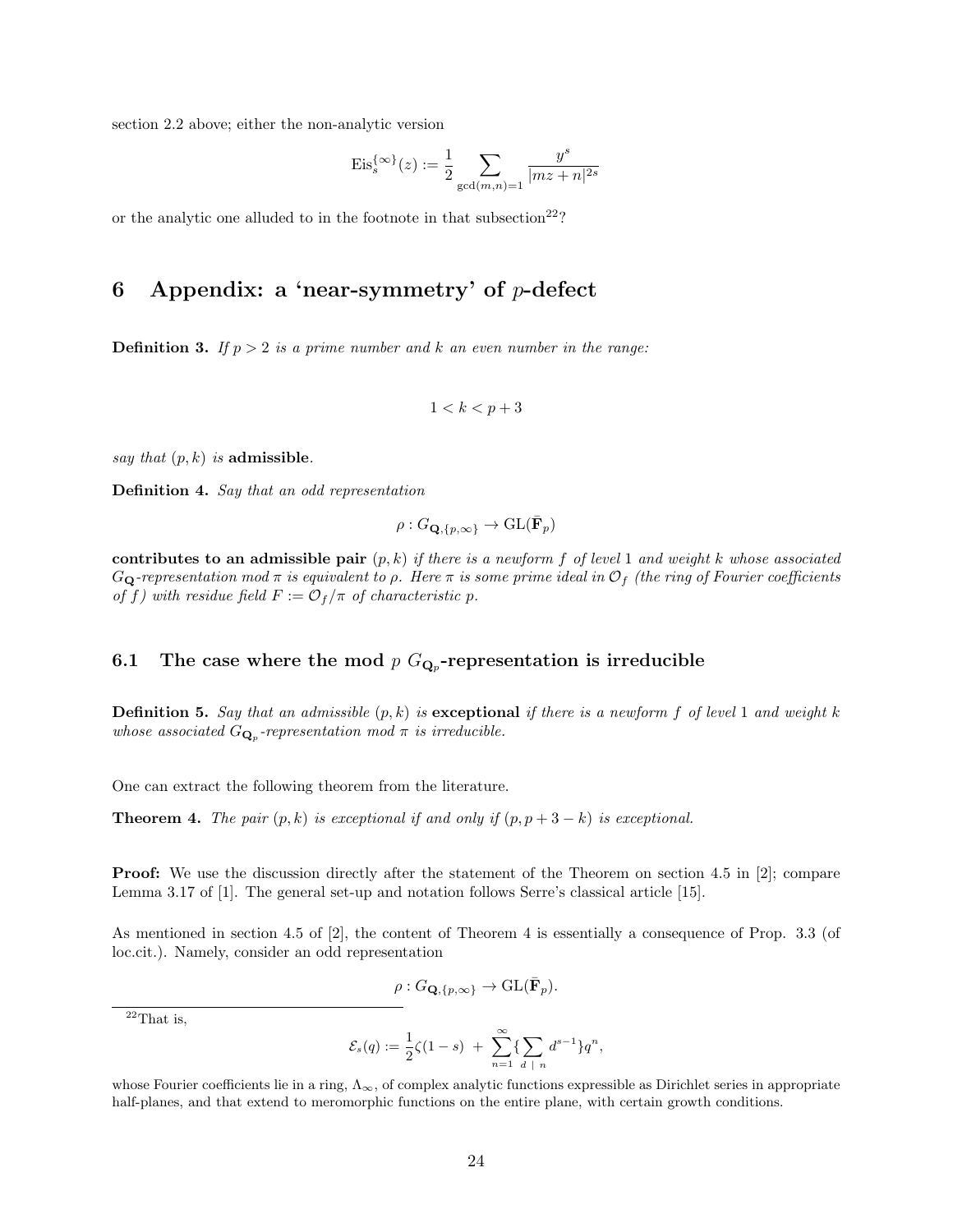section 2.2 above; either the non-analytic version

$$
\mathrm{Eis}^{\{\infty\}}_s(z):=\frac{1}{2}\sum_{\gcd(m,n)=1}\frac{y^s}{|mz+n|^{2s}}
$$

or the analytic one alluded to in the footnote in that subsection  $22$ ?

# 6 Appendix: a 'near-symmetry' of  $p$ -defect

**Definition 3.** If  $p > 2$  is a prime number and k an even number in the range:

$$
1 < k < p+3
$$

say that  $(p, k)$  is admissible.

Definition 4. Say that an odd representation

$$
\rho: G_{\mathbf{Q}, \{\boldsymbol{p}, \infty\}} \rightarrow \mathrm{GL}(\mathbf{F}_{\boldsymbol{p}})
$$

contributes to an admissible pair  $(p, k)$  if there is a newform f of level 1 and weight k whose associated  $G_{\mathbf{Q}}$ -representation mod  $\pi$  is equivalent to  $\rho$ . Here  $\pi$  is some prime ideal in  $\mathcal{O}_f$  (the ring of Fourier coefficients of f) with residue field  $F := \mathcal{O}_f/\pi$  of characteristic p.

# 6.1 The case where the mod  $p G_{\mathbf{Q}_p}$ -representation is irreducible

**Definition 5.** Say that an admissible  $(p, k)$  is exceptional if there is a newform f of level 1 and weight k whose associated  $G_{\mathbf{Q}_p}$ -representation mod  $\pi$  is irreducible.

One can extract the following theorem from the literature.

**Theorem 4.** The pair  $(p, k)$  is exceptional if and only if  $(p, p + 3 - k)$  is exceptional.

**Proof:** We use the discussion directly after the statement of the Theorem on section 4.5 in [2]; compare Lemma 3.17 of [1]. The general set-up and notation follows Serre's classical article [15].

As mentioned in section 4.5 of [2], the content of Theorem 4 is essentially a consequence of Prop. 3.3 (of loc.cit.). Namely, consider an odd representation

$$
\rho: G_{\mathbf{Q}, \{p,\infty\}} \to \mathrm{GL}(\bar{\mathbf{F}}_p).
$$

 $^{22}\mathrm{That}$  is,

$$
\mathcal{E}_s(q) := \frac{1}{2}\zeta(1-s) + \sum_{n=1}^{\infty} \{\sum_{d \; | \; n} d^{s-1}\} q^n,
$$

whose Fourier coefficients lie in a ring,  $\Lambda_{\infty}$ , of complex analytic functions expressible as Dirichlet series in appropriate half-planes, and that extend to meromorphic functions on the entire plane, with certain growth conditions.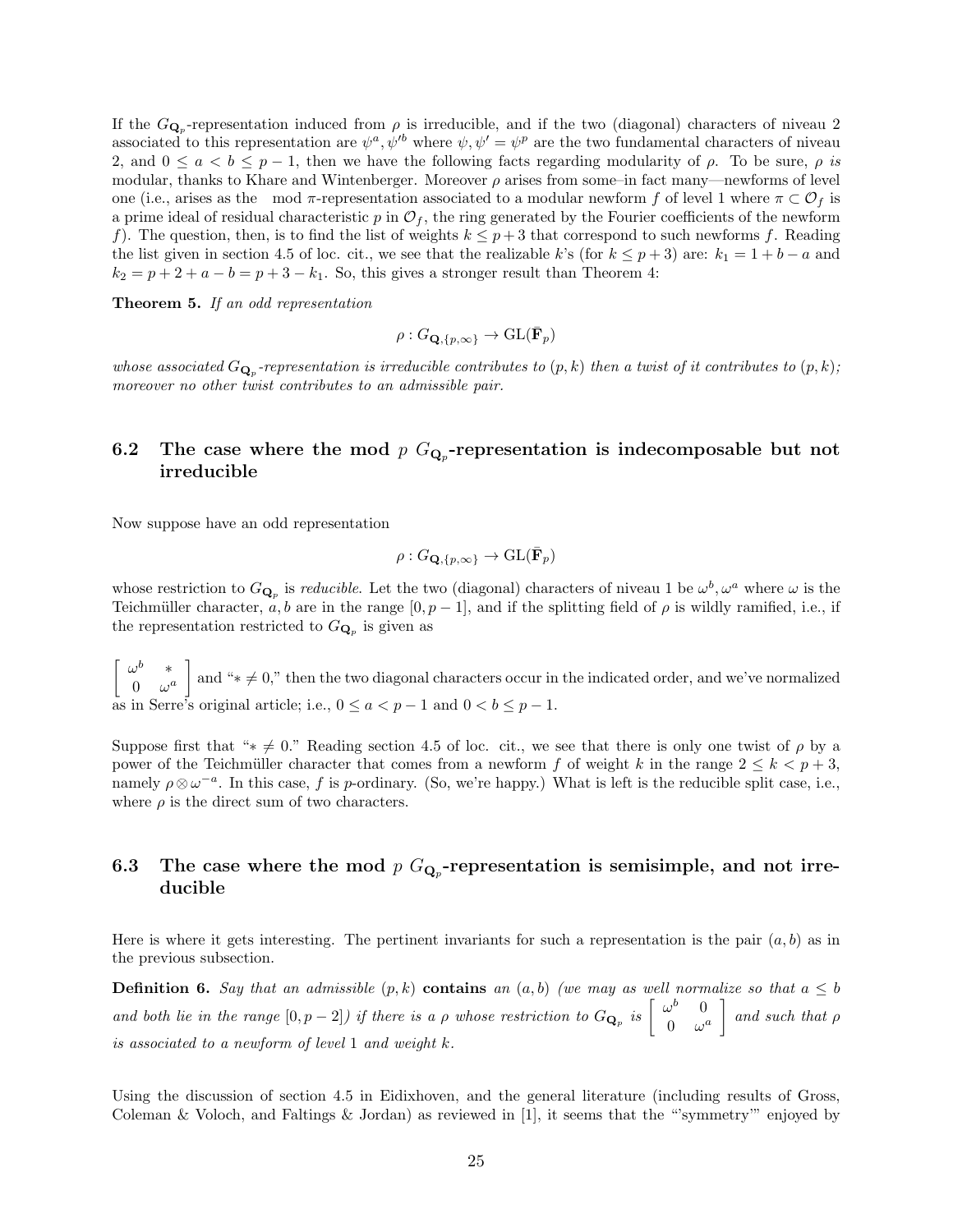If the  $G_{\mathbf{Q}_p}$ -representation induced from  $\rho$  is irreducible, and if the two (diagonal) characters of niveau 2 associated to this representation are  $\psi^a, \psi'^b$  where  $\psi, \psi' = \psi^p$  are the two fundamental characters of niveau 2, and  $0 \le a < b \le p-1$ , then we have the following facts regarding modularity of  $\rho$ . To be sure,  $\rho$  is modular, thanks to Khare and Wintenberger. Moreover  $\rho$  arises from some–in fact many—newforms of level one (i.e., arises as the mod  $\pi$ -representation associated to a modular newform f of level 1 where  $\pi \subset \mathcal{O}_f$  is a prime ideal of residual characteristic p in  $\mathcal{O}_f$ , the ring generated by the Fourier coefficients of the newform f). The question, then, is to find the list of weights  $k \leq p+3$  that correspond to such newforms f. Reading the list given in section 4.5 of loc. cit., we see that the realizable k's (for  $k \leq p+3$ ) are:  $k_1 = 1 + b - a$  and  $k_2 = p + 2 + a - b = p + 3 - k_1$ . So, this gives a stronger result than Theorem 4:

Theorem 5. If an odd representation

$$
\rho: G_{\mathbf{Q}, \{p,\infty\}} \to \mathrm{GL}(\bar{\mathbf{F}}_p)
$$

whose associated  $G_{\mathbf{Q}_p}$ -representation is irreducible contributes to  $(p, k)$  then a twist of it contributes to  $(p, k)$ ; moreover no other twist contributes to an admissible pair.

# 6.2 The case where the mod  $p G_{\mathbf{Q}_p}$ -representation is indecomposable but not irreducible

Now suppose have an odd representation

$$
\rho: G_{\mathbf{Q}, \{p, \infty\}} \to \mathrm{GL}(\bar{\mathbf{F}}_p)
$$

whose restriction to  $G_{\mathbf{Q}_p}$  is *reducible*. Let the two (diagonal) characters of niveau 1 be  $\omega^b, \omega^a$  where  $\omega$  is the Teichmüller character, a, b are in the range  $[0, p - 1]$ , and if the splitting field of  $\rho$  is wildly ramified, i.e., if the representation restricted to  $G_{\mathbf{Q}_p}$  is given as

 $\int \omega^b \quad *$  $0 \quad \omega^a$ and "∗  $\neq$  0," then the two diagonal characters occur in the indicated order, and we've normalized as in Serre's original article; i.e.,  $0 \le a < p-1$  and  $0 < b \le p-1$ .

Suppose first that "∗  $\neq$  0." Reading section 4.5 of loc. cit., we see that there is only one twist of  $\rho$  by a power of the Teichmüller character that comes from a newform f of weight k in the range  $2 \leq k < p+3$ , namely  $\rho \otimes \omega^{-a}$ . In this case, f is p-ordinary. (So, we're happy.) What is left is the reducible split case, i.e., where  $\rho$  is the direct sum of two characters.

# 6.3 The case where the mod  $p G_{\mathbf{Q}_p}$ -representation is semisimple, and not irreducible

Here is where it gets interesting. The pertinent invariants for such a representation is the pair  $(a, b)$  as in the previous subsection.

**Definition 6.** Say that an admissible  $(p, k)$  **contains** an  $(a, b)$  (we may as well normalize so that  $a \leq b$ and both lie in the range  $[0, p-2]$ ) if there is a  $\rho$  whose restriction to  $G_{\mathbf{Q}_p}$  is  $\begin{bmatrix} \omega^b & 0 \\ 0 & \omega^d \end{bmatrix}$  $0 \quad \omega^a$ and such that  $\rho$ is associated to a newform of level 1 and weight k.

Using the discussion of section 4.5 in Eidixhoven, and the general literature (including results of Gross, Coleman & Voloch, and Faltings & Jordan) as reviewed in [1], it seems that the "'symmetry'" enjoyed by